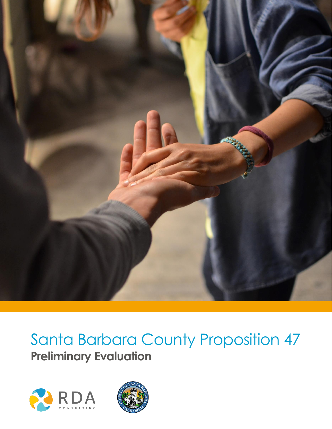

# Santa Barbara County Proposition 47 **Preliminary Evaluation**



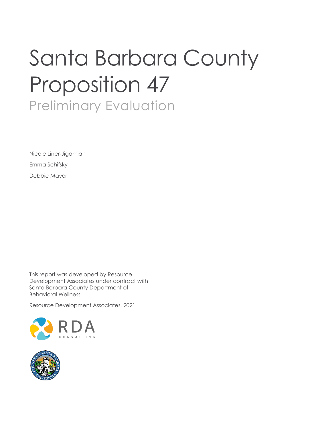# Santa Barbara County Proposition 47 Preliminary Evaluation

Nicole Liner-Jigamian Emma Schifsky Debbie Mayer

This report was developed by Resource Development Associates under contract with Santa Barbara County Department of Behavioral Wellness.

Resource Development Associates, 2021



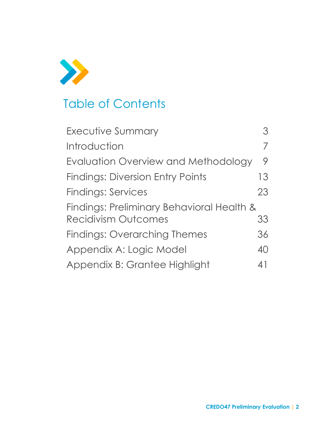

# Table of Contents

| <b>Executive Summary</b>                  |    |
|-------------------------------------------|----|
| Introduction                              |    |
| Evaluation Overview and Methodology       | 9  |
| <b>Findings: Diversion Entry Points</b>   | 13 |
| <b>Findings: Services</b>                 | 23 |
| Findings: Preliminary Behavioral Health & |    |
| <b>Recidivism Outcomes</b>                | 33 |
| <b>Findings: Overarching Themes</b>       | 36 |
| Appendix A: Logic Model                   | 40 |
| Appendix B: Grantee Highlight             | 41 |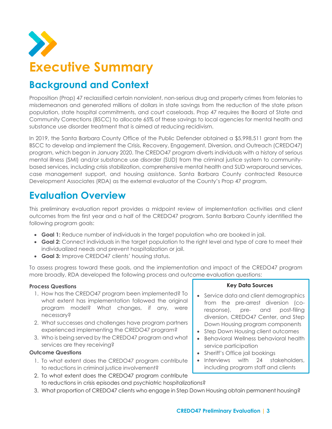<span id="page-3-0"></span>

### **Background and Context**

Proposition (Prop) 47 reclassified certain nonviolent, non-serious drug and property crimes from felonies to misdemeanors and generated millions of dollars in state savings from the reduction of the state prison population, state hospital commitments, and court caseloads. Prop 47 requires the Board of State and Community Corrections (BSCC) to allocate 65% of these savings to local agencies for mental health and substance use disorder treatment that is aimed at reducing recidivism.

In 2019, the Santa Barbara County Office of the Public Defender obtained a \$5,998,511 grant from the BSCC to develop and implement the Crisis, Recovery, Engagement, Diversion, and Outreach (CREDO47) program, which began in January 2020. The CREDO47 program diverts individuals with a history of serious mental illness (SMI) and/or substance use disorder (SUD) from the criminal justice system to communitybased services, including crisis stabilization, comprehensive mental health and SUD wraparound services, case management support, and housing assistance. Santa Barbara County contracted Resource Development Associates (RDA) as the external evaluator of the County's Prop 47 program.

### **Evaluation Overview**

This preliminary evaluation report provides a midpoint review of implementation activities and client outcomes from the first year and a half of the CREDO47 program. Santa Barbara County identified the following program goals:

- **Goal 1:** Reduce number of individuals in the target population who are booked in jail.
- **Goal 2:** Connect individuals in the target population to the right level and type of care to meet their individualized needs and prevent hospitalization or jail.
- **Goal 3:** Improve CREDO47 clients' housing status.

To assess progress toward these goals, and the implementation and impact of the CREDO47 program more broadly, RDA developed the following process and outcome evaluation questions:

#### **Process Questions**

- 1. How has the CREDO47 program been implemented? To what extent has implementation followed the original program model? What changes, if any, were necessary?
- 2. What successes and challenges have program partners experienced implementing the CREDO47 program?
- 3. Who is being served by the CREDO47 program and what services are they receiving?

#### **Outcome Questions**

- 1. To what extent does the CREDO47 program contribute to reductions in criminal justice involvement?
- 2. To what extent does the CREDO47 program contribute to reductions in crisis episodes and psychiatric hospitalizations?
- 3. What proportion of CREDO47 clients who engage in Step Down Housing obtain permanent housing?

#### **Key Data Sources**

- Service data and client demographics from the pre-arrest diversion (coresponse), pre- and post-filing diversion, CREDO47 Center, and Step Down Housing program components
- Step Down Housing client outcomes
- Behavioral Wellness behavioral health service participation
- Sheriff's Office jail bookings
- Interviews with 24 stakeholders, including program staff and clients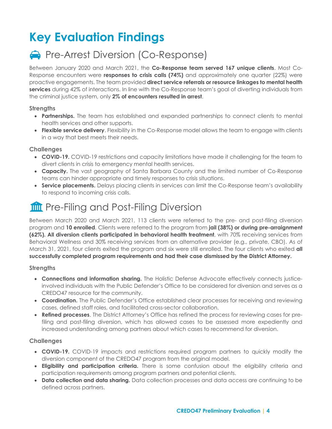# **Key Evaluation Findings**

### **Pre-Arrest Diversion (Co-Response)**

Between January 2020 and March 2021, the **Co-Response team served 167 unique clients**. Most Co-Response encounters were **responses to crisis calls (74%)** and approximately one quarter (22%) were proactive engagements. The team provided **direct service referrals or resource linkages to mental health services** during 42% of interactions. In line with the Co-Response team's goal of diverting individuals from the criminal justice system, only **2% of encounters resulted in arrest**.

#### **Strengths**

- **Partnerships.** The team has established and expanded partnerships to connect clients to mental health services and other supports.
- **Flexible service delivery**. Flexibility in the Co-Response model allows the team to engage with clients in a way that best meets their needs.

#### **Challenges**

- **COVID-19.** COVID-19 restrictions and capacity limitations have made it challenging for the team to divert clients in crisis to emergency mental health services.
- **Capacity.** The vast geography of Santa Barbara County and the limited number of Co-Response teams can hinder appropriate and timely responses to crisis situations.
- **Service placements.** Delays placing clients in services can limit the Co-Response team's availability to respond to incoming crisis calls.

### **THE Pre-Filing and Post-Filing Diversion**

Between March 2020 and March 2021, 113 clients were referred to the pre- and post-filing diversion program and **10 enrolled**. Clients were referred to the program from **jail (38%) or during pre-arraignment (62%). All diversion clients participated in behavioral health treatment**, with 70% receiving services from Behavioral Wellness and 30% receiving services from an alternative provider (e.g., private, CBO). As of March 31, 2021, four clients exited the program and six were still enrolled. The four clients who exited **all successfully completed program requirements and had their case dismissed by the District Attorney.**

#### **Strengths**

- **Connections and information sharing.** The Holistic Defense Advocate effectively connects justiceinvolved individuals with the Public Defender's Office to be considered for diversion and serves as a CREDO47 resource for the community.
- **Coordination.** The Public Defender's Office established clear processes for receiving and reviewing cases, defined staff roles, and facilitated cross-sector collaboration.
- **Refined processes**. The District Attorney's Office has refined the process for reviewing cases for prefiling and post-filing diversion, which has allowed cases to be assessed more expediently and increased understanding among partners about which cases to recommend for diversion.

#### **Challenges**

- **COVID-19.** COVID-19 impacts and restrictions required program partners to quickly modify the diversion component of the CREDO47 program from the original model.
- **Eligibility and participation criteria.** There is some confusion about the eligibility criteria and participation requirements among program partners and potential clients.
- **Data collection and data sharing.** Data collection processes and data access are continuing to be defined across partners.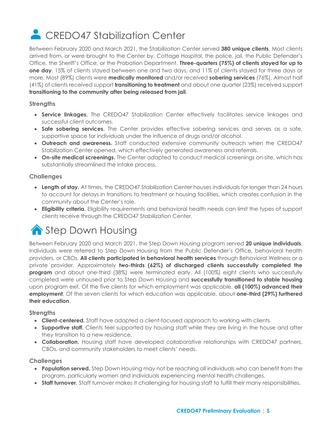# **CREDO47 Stabilization Center**

Between February 2020 and March 2021, the Stabilization Center served **380 unique clients**. Most clients arrived from, or were brought to the Center by, Cottage Hospital, the police, jail, the Public Defender's Office, the Sheriff's Office, or the Probation Department. **Three-quarters (75%) of clients stayed for up to one day**, 15% of clients stayed between one and two days, and 11% of clients stayed for three days or more. Most (89%) clients were **medically monitored** and/or received **sobering services** (76%). Almost half (41%) of clients received support **transitioning to treatment** and about one quarter (23%) received support **transitioning to the community after being released from jail**.

#### **Strengths**

- **Service linkages.** The CREDO47 Stabilization Center effectively facilitates service linkages and successful client outcomes.
- **Safe sobering services.** The Center provides effective sobering services and serves as a safe, supportive space for individuals under the influence of drugs and/or alcohol.
- **Outreach and awareness.** Staff conducted extensive community outreach when the CREDO47 Stabilization Center opened, which effectively generated awareness and referrals.
- **On-site medical screenings.** The Center adapted to conduct medical screenings on-site, which has substantially streamlined the intake process.

#### **Challenges**

- **Length of stay.** At times, the CREDO47 Stabilization Center houses individuals for longer than 24 hours to account for delays in transitions to treatment or housing facilities, which creates confusion in the community about the Center's role.
- **Eligibility criteria.** Eligibility requirements and behavioral health needs can limit the types of support clients receive through the CREDO47 Stabilization Center.

# Step Down Housing

Between February 2020 and March 2021, the Step Down Housing program served **20 unique individuals**. Individuals were referred to Step Down Housing from the Public Defender's Office, behavioral health providers, or CBOs. **All clients participated in behavioral health services** through Behavioral Wellness or a private provider. Approximately **two-thirds (62%) of discharged clients successfully completed the program** and about one-third (38%) were terminated early. All (100%) eight clients who successfully completed were unhoused prior to Step Down Housing and **successfully transitioned to stable housing** upon program exit. Of the five clients for which employment was applicable, **all (100%) advanced their employment**. Of the seven clients for which education was applicable, about **one-third (29%) furthered their education**.

#### **Strengths**

- **Client-centered.** Staff have adopted a client-focused approach to working with clients.
- **Supportive staff.** Clients feel supported by housing staff while they are living in the house and after they transition to a new residence.
- **Collaboration.** Housing staff have developed collaborative relationships with CREDO47 partners, CBOs, and community stakeholders to meet clients' needs.

#### **Challenges**

- **Population served.** Step Down Housing may not be reaching all individuals who can benefit from the program, particularly women and individuals experiencing mental health challenges.
- **Staff turnover.** Staff turnover makes it challenging for housing staff to fulfill their many responsibilities.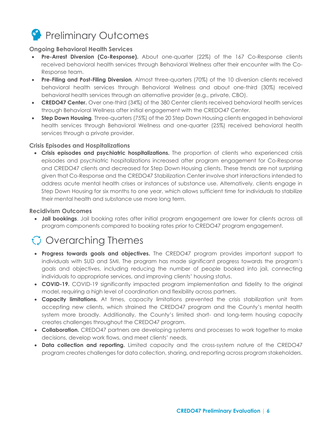### **Preliminary Outcomes**

#### **Ongoing Behavioral Health Services**

- **Pre-Arrest Diversion (Co-Response).** About one-quarter (22%) of the 167 Co-Response clients received behavioral health services through Behavioral Wellness after their encounter with the Co-Response team.
- **Pre-Filing and Post-Filing Diversion***.* Almost three-quarters (70%) of the 10 diversion clients received behavioral health services through Behavioral Wellness and about one-third (30%) received behavioral health services through an alternative provider (e.g., private, CBO).
- **CREDO47 Center.** Over one-third (34%) of the 380 Center clients received behavioral health services through Behavioral Wellness after initial engagement with the CREDO47 Center.
- **Step Down Housing***.* Three-quarters (75%) of the 20 Step Down Housing clients engaged in behavioral health services through Behavioral Wellness and one-quarter (25%) received behavioral health services through a private provider.

#### **Crisis Episodes and Hospitalizations**

• **Crisis episodes and psychiatric hospitalizations.** The proportion of clients who experienced crisis episodes and psychiatric hospitalizations increased after program engagement for Co-Response and CREDO47 clients and decreased for Step Down Housing clients. These trends are not surprising given that Co-Response and the CREDO47 Stabilization Center involve short interactions intended to address acute mental health crises or instances of substance use. Alternatively, clients engage in Step Down Housing for six months to one year, which allows sufficient time for individuals to stabilize their mental health and substance use more long term.

#### **Recidivism Outcomes**

• **Jail bookings**. Jail booking rates after initial program engagement are lower for clients across all program components compared to booking rates prior to CREDO47 program engagement.

### $\bigcirc$  Overarching Themes

- **Progress towards goals and objectives.** The CREDO47 program provides important support to individuals with SUD and SMI. The program has made significant progress towards the program's goals and objectives, including reducing the number of people booked into jail, connecting individuals to appropriate services, and improving clients' housing status.
- **COVID-19.** COVID-19 significantly impacted program implementation and fidelity to the original model, requiring a high level of coordination and flexibility across partners.
- **Capacity limitations.** At times, capacity limitations prevented the crisis stabilization unit from accepting new clients, which strained the CREDO47 program and the County's mental health system more broadly. Additionally, the County's limited short- and long-term housing capacity creates challenges throughout the CREDO47 program.
- **Collaboration.** CREDO47 partners are developing systems and processes to work together to make decisions, develop work flows, and meet clients' needs.
- **Data collection and reporting.** Limited capacity and the cross-system nature of the CREDO47 program creates challenges for data collection, sharing, and reporting across program stakeholders.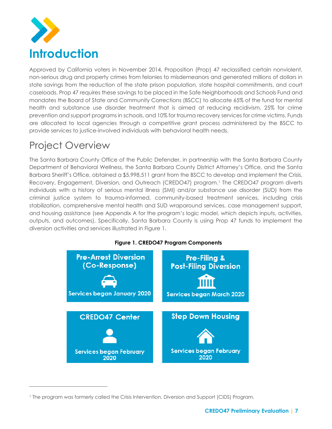<span id="page-7-0"></span>

Approved by California voters in November 2014, Proposition (Prop) 47 reclassified certain nonviolent, non-serious drug and property crimes from felonies to misdemeanors and generated millions of dollars in state savings from the reduction of the state prison population, state hospital commitments, and court caseloads. Prop 47 requires these savings to be placed in the Safe Neighborhoods and Schools Fund and mandates the Board of State and Community Corrections (BSCC) to allocate 65% of the fund for mental health and substance use disorder treatment that is aimed at reducing recidivism, 25% for crime prevention and support programs in schools, and 10% for trauma recovery services for crime victims. Funds are allocated to local agencies through a competitive grant process administered by the BSCC to provide services to justice-involved individuals with behavioral health needs.

### Project Overview

The Santa Barbara County Office of the Public Defender, in partnership with the Santa Barbara County Department of Behavioral Wellness, the Santa Barbara County District Attorney's Office, and the Santa Barbara Sheriff's Office, obtained a \$5,998,511 grant from the BSCC to develop and implement the Crisis, Recovery, Engagement, Diversion, and Outreach (CREDO47) program.<sup>1</sup> The CREDO47 program diverts individuals with a history of serious mental illness (SMI) and/or substance use disorder (SUD) from the criminal justice system to trauma-informed, community-based treatment services, including crisis stabilization, comprehensive mental health and SUD wraparound services, case management support, and housing assistance (see Appendix A for the program's logic model, which depicts inputs, activities, outputs, and outcomes). Specifically, Santa Barbara County is using Prop 47 funds to implement the diversion activities and services illustrated in Figure 1.



**Figure 1. CREDO47 Program Components**

<sup>1</sup> The program was formerly called the Crisis Intervention, Diversion and Support (CIDS) Program.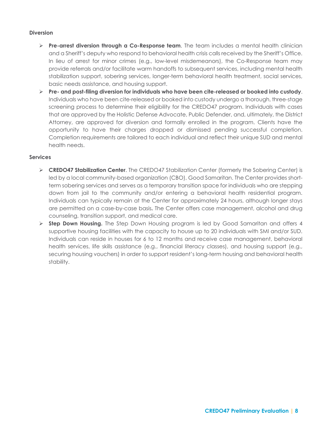#### **Diversion**

- ➢ **Pre-arrest diversion through a Co-Response team**. The team includes a mental health clinician and a Sheriff's deputy who respond to behavioral health crisis calls received by the Sheriff's Office. In lieu of arrest for minor crimes (e.g., low-level misdemeanors), the Co-Response team may provide referrals and/or facilitate warm handoffs to subsequent services, including mental health stabilization support, sobering services, longer-term behavioral health treatment, social services, basic needs assistance, and housing support.
- ➢ **Pre- and post-filing diversion for individuals who have been cite-released or booked into custody**. Individuals who have been cite-released or booked into custody undergo a thorough, three-stage screening process to determine their eligibility for the CREDO47 program. Individuals with cases that are approved by the Holistic Defense Advocate, Public Defender, and, ultimately, the District Attorney, are approved for diversion and formally enrolled in the program. Clients have the opportunity to have their charges dropped or dismissed pending successful completion. Completion requirements are tailored to each individual and reflect their unique SUD and mental health needs.

#### **Services**

- ➢ **CREDO47 Stabilization Center**. The CREDO47 Stabilization Center (formerly the Sobering Center) is led by a local community-based organization (CBO), Good Samaritan. The Center provides shortterm sobering services and serves as a temporary transition space for individuals who are stepping down from jail to the community and/or entering a behavioral health residential program. Individuals can typically remain at the Center for approximately 24 hours, although longer stays are permitted on a case-by-case basis**.** The Center offers case management, alcohol and drug counseling, transition support, and medical care.
- <span id="page-8-0"></span>➢ **Step Down Housing.** The Step Down Housing program is led by Good Samaritan and offers 4 supportive housing facilities with the capacity to house up to 20 individuals with SMI and/or SUD. Individuals can reside in houses for 6 to 12 months and receive case management, behavioral health services, life skills assistance (e.g., financial literacy classes), and housing support (e.g., securing housing vouchers) in order to support resident's long-term housing and behavioral health stability.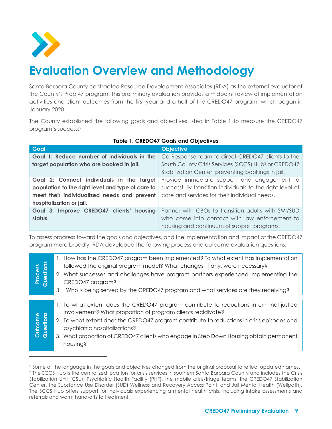

# **Evaluation Overview and Methodology**

Santa Barbara County contracted Resource Development Associates (RDA) as the external evaluator of the County's Prop 47 program. This preliminary evaluation provides a midpoint review of implementation activities and client outcomes from the first year and a half of the CREDO47 program, which began in January 2020.

The County established the following goals and objectives listed in Table 1 to measure the CREDO47 program's success: 2

| Goal                                                                                         | <b>Objective</b>                                                |
|----------------------------------------------------------------------------------------------|-----------------------------------------------------------------|
| Goal 1: Reduce number of individuals in the                                                  | Co-Response team to direct CREDO47 clients to the               |
| target population who are booked in jail.                                                    | South County Crisis Services (SCCS) Hub <sup>3</sup> or CREDO47 |
|                                                                                              | Stabilization Center, preventing bookings in jail.              |
| Goal 2: Connect individuals in the target                                                    | Provide immediate support and engagement to                     |
| population to the right level and type of care to                                            | successfully transition individuals to the right level of       |
| meet their individualized needs and prevent<br>care and services for their individual needs. |                                                                 |
| hospitalization or jail.                                                                     |                                                                 |
| Goal 3: Improve CREDO47 clients' housing                                                     | Partner with CBOs to transition adults with SMI/SUD             |
| status.                                                                                      | who come into contact with law enforcement to                   |
|                                                                                              | housing and continuum of support programs.                      |

#### **Table 1. CREDO47 Goals and Objectives**

To assess progress toward the goals and objectives, and the implementation and impact of the CREDO47 program more broadly, RDA developed the following process and outcome evaluation questions:

| <b>Process</b><br>Questions | 1. How has the CREDO47 program been implemented? To what extent has implementation<br>followed the original program model? What changes, if any, were necessary?<br>2. What successes and challenges have program partners experienced implementing the<br>CREDO47 program?<br>Who is being served by the CREDO47 program and what services are they receiving?<br>3.                       |
|-----------------------------|---------------------------------------------------------------------------------------------------------------------------------------------------------------------------------------------------------------------------------------------------------------------------------------------------------------------------------------------------------------------------------------------|
|                             |                                                                                                                                                                                                                                                                                                                                                                                             |
| Outcome<br>Questions        | 1. To what extent does the CREDO47 program contribute to reductions in criminal justice<br>involvement? What proportion of program clients recidivate?<br>2. To what extent does the CREDO47 program contribute to reductions in crisis episodes and<br>psychiatric hospitalizations?<br>3. What proportion of CREDO47 clients who engage in Step Down Housing obtain permanent<br>housing? |

<sup>&</sup>lt;sup>2</sup> Some of the language in the goals and objectives changed from the original proposal to reflect updated names. <sup>3</sup> The SCCS Hub is the centralized location for crisis services in southern Santa Barbara County and includes the Crisis Stabilization Unit (CSU), Psychiatric Health Facility (PHF), the mobile crisis/triage teams, the CREDO47 Stabilization Center, the Substance Use Disorder (SUD) Wellness and Recovery Access Point, and Jail Mental Health (Wellpath). The SCCS Hub offers support for individuals experiencing a mental health crisis, including intake assessments and referrals and warm hand-offs to treatment.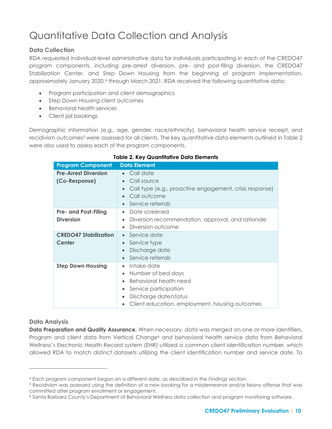### Quantitative Data Collection and Analysis

#### **Data Collection**

RDA requested individual-level administrative data for individuals participating in each of the CREDO47 program components, including pre-arrest diversion, pre- and post-filing diversion, the CREDO47 Stabilization Center, and Step Down Housing from the beginning of program implementation, approximately January 2020,<sup>4</sup> through March 2021. RDA received the following quantitative data:

- Program participation and client demographics
- Step Down Housing client outcomes
- Behavioral health services
- Client jail bookings

Demographic information (e.g., age, gender, race/ethnicity), behavioral health service receipt, and recidivism outcomes<sup>5</sup> were assessed for all clients. The key quantitative data elements outlined in Table 2 were also used to assess each of the program components.

| <b>Program Component</b>     | <b>Data Element</b>                                     |
|------------------------------|---------------------------------------------------------|
| <b>Pre-Arrest Diversion</b>  | • Call date                                             |
| (Co-Response)                | Call source                                             |
|                              | Call type (e.g., proactive engagement, crisis response) |
|                              | Call outcome                                            |
|                              | Service referrals<br>$\bullet$                          |
| <b>Pre- and Post-Filing</b>  | Date screened<br>$\bullet$                              |
| <b>Diversion</b>             | Diversion recommendation, approval, and rationale       |
|                              | Diversion outcome<br>$\bullet$                          |
| <b>CREDO47 Stabilization</b> | Service date<br>$\bullet$                               |
| Center                       | Service type<br>$\bullet$                               |
|                              | Discharge date<br>$\bullet$                             |
|                              | Service referrals<br>$\bullet$                          |
| <b>Step Down Housing</b>     | Intake date<br>$\bullet$                                |
|                              | Number of bed days<br>$\bullet$                         |
|                              | Behavioral health need                                  |
|                              | Service participation<br>$\bullet$                      |
|                              | Discharge date/status                                   |
|                              | Client education, employment, housing outcomes          |

#### **Table 2. Key Quantitative Data Elements**

#### **Data Analysis**

**Data Preparation and Quality Assurance.** When necessary, data was merged on one or more identifiers. Program and client data from Vertical Change<sup>6</sup> and behavioral health service data from Behavioral Wellness's Electronic Health Record system (EHR) utilized a common client identification number, which allowed RDA to match distinct datasets utilizing the client identification number and service date. To

<sup>4</sup> Each program component began on a different date, as described in the *Findings* section.

<sup>5</sup> Recidivism was assessed using the definition of a new booking for a misdemeanor and/or felony offense that was committed after program enrollment or engagement.

<sup>6</sup> Santa Barbara County's Department of Behavioral Wellness data collection and program monitoring software.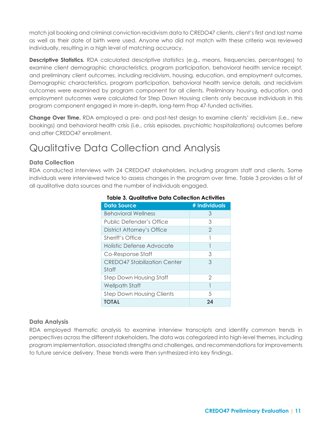match jail booking and criminal conviction recidivism data to CREDO47 clients, client's first and last name as well as their date of birth were used. Anyone who did not match with these criteria was reviewed individually, resulting in a high level of matching accuracy.

**Descriptive Statistics.** RDA calculated descriptive statistics (e.g., means, frequencies, percentages) to examine client demographic characteristics, program participation, behavioral health service receipt, and preliminary client outcomes, including recidivism, housing, education, and employment outcomes. Demographic characteristics, program participation, behavioral health service details, and recidivism outcomes were examined by program component for all clients. Preliminary housing, education, and employment outcomes were calculated for Step Down Housing clients only because individuals in this program component engaged in more in-depth, long-term Prop 47-funded activities.

**Change Over Time.** RDA employed a pre- and post-test design to examine clients' recidivism (i.e., new bookings) and behavioral health crisis (i.e., crisis episodes, psychiatric hospitalizations) outcomes before and after CREDO47 enrollment.

### Qualitative Data Collection and Analysis

#### **Data Collection**

RDA conducted interviews with 24 CREDO47 stakeholders, including program staff and clients. Some individuals were interviewed twice to assess changes in the program over time. Table 3 provides a list of all qualitative data sources and the number of individuals engaged.

| <b>Data Source</b>                  | # Individuals  |
|-------------------------------------|----------------|
| <b>Behavioral Wellness</b>          | З              |
| Public Defender's Office            | 3              |
| District Attorney's Office          | $\overline{2}$ |
| Sheriff's Office                    |                |
| <b>Holistic Defense Advocate</b>    |                |
| Co-Response Staff                   | 3              |
| <b>CREDO47 Stabilization Center</b> | З              |
| Staff                               |                |
| <b>Step Down Housing Staff</b>      | 2              |
| Wellpath Staff                      |                |
| <b>Step Down Housing Clients</b>    | 5              |
| <b>TOTAL</b>                        | 24             |

#### **Table 3. Qualitative Data Collection Activities**

#### **Data Analysis**

RDA employed thematic analysis to examine interview transcripts and identify common trends in perspectives across the different stakeholders. The data was categorized into high-level themes, including program implementation, associated strengths and challenges, and recommendations for improvements to future service delivery. These trends were then synthesized into key findings.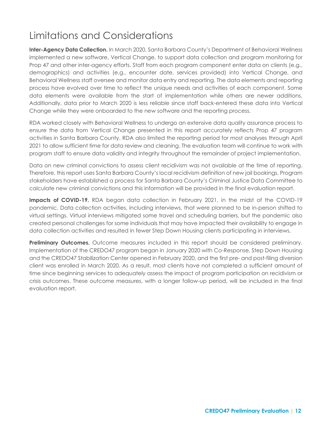### Limitations and Considerations

**Inter-Agency Data Collection.** In March 2020, Santa Barbara County's Department of Behavioral Wellness implemented a new software, Vertical Change, to support data collection and program monitoring for Prop 47 and other inter-agency efforts. Staff from each program component enter data on clients (e.g., demographics) and activities (e.g., encounter date, services provided) into Vertical Change, and Behavioral Wellness staff oversee and monitor data entry and reporting. The data elements and reporting process have evolved over time to reflect the unique needs and activities of each component. Some data elements were available from the start of implementation while others are newer additions. Additionally, data prior to March 2020 is less reliable since staff back-entered these data into Vertical Change while they were onboarded to the new software and the reporting process.

RDA worked closely with Behavioral Wellness to undergo an extensive data quality assurance process to ensure the data from Vertical Change presented in this report accurately reflects Prop 47 program activities in Santa Barbara County. RDA also limited the reporting period for most analyses through April 2021 to allow sufficient time for data review and cleaning. The evaluation team will continue to work with program staff to ensure data validity and integrity throughout the remainder of project implementation.

Data on new criminal convictions to assess client recidivism was not available at the time of reporting. Therefore, this report uses Santa Barbara County's local recidivism definition of new jail bookings. Program stakeholders have established a process for Santa Barbara County's Criminal Justice Data Committee to calculate new criminal convictions and this information will be provided in the final evaluation report.

**Impacts of COVID-19.** RDA began data collection in February 2021, in the midst of the COVID-19 pandemic. Data collection activities, including interviews, that were planned to be in-person shifted to virtual settings. Virtual interviews mitigated some travel and scheduling barriers, but the pandemic also created personal challenges for some individuals that may have impacted their availability to engage in data collection activities and resulted in fewer Step Down Housing clients participating in interviews.

<span id="page-12-0"></span>**Preliminary Outcomes.** Outcome measures included in this report should be considered preliminary. Implementation of the CREDO47 program began in January 2020 with Co-Response. Step Down Housing and the CREDO47 Stabilization Center opened in February 2020, and the first pre- and post-filing diversion client was enrolled in March 2020. As a result, most clients have not completed a sufficient amount of time since beginning services to adequately assess the impact of program participation on recidivism or crisis outcomes. These outcome measures, with a longer follow-up period, will be included in the final evaluation report.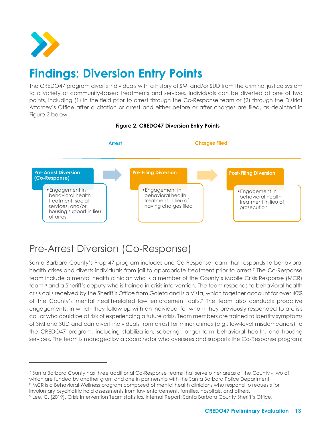

# **Findings: Diversion Entry Points**

The CREDO47 program diverts individuals with a history of SMI and/or SUD from the criminal justice system to a variety of community-based treatments and services. Individuals can be diverted at one of two points, including (1) in the field prior to arrest through the Co-Response team or (2) through the District Attorney's Office after a citation or arrest and either before or after charges are filed, as depicted in Figure 2 below.



#### **Figure 2. CREDO47 Diversion Entry Points**

### Pre-Arrest Diversion (Co-Response)

Santa Barbara County's Prop 47 program includes one Co-Response team that responds to behavioral health crises and diverts individuals from jail to appropriate treatment prior to arrest.<sup>7</sup> The Co-Response team include a mental health clinician who is a member of the County's Mobile Crisis Response (MCR) team,<sup>8</sup> and a Sheriff's deputy who is trained in crisis intervention. The team responds to behavioral health crisis calls received by the Sheriff's Office from Goleta and Isla Vista, which together account for over 40% of the County's mental health-related law enforcement calls.<sup>9</sup> The team also conducts proactive engagements, in which they follow up with an individual for whom they previously responded to a crisis call or who could be at risk of experiencing a future crisis. Team members are trained to identify symptoms of SMI and SUD and can divert individuals from arrest for minor crimes (e.g., low-level misdemeanors) to the CREDO47 program, including stabilization, sobering, longer-term behavioral health, and housing services. The team is managed by a coordinator who oversees and supports the Co-Response program;

<sup>7</sup> Santa Barbara County has three additional Co-Response teams that serve other areas of the County - two of which are funded by another grant and one in partnership with the Santa Barbara Police Department 8 MCR is a Behavioral Wellness program composed of mental health clinicians who respond to requests for

involuntary psychiatric hold assessments from law enforcement, families, hospitals, and others.

<sup>9</sup> Lee, C. (2019). Crisis Intervention Team statistics. Internal Report: Santa Barbara County Sheriff's Office.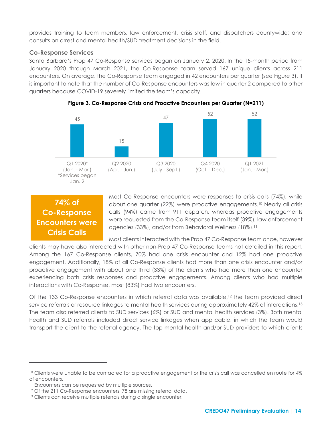provides training to team members, law enforcement, crisis staff, and dispatchers countywide; and consults on arrest and mental health/SUD treatment decisions in the field.

#### **Co-Response Services**

Santa Barbara's Prop 47 Co-Response services began on January 2, 2020. In the 15-month period from January 2020 through March 2021, the Co-Response team served 167 unique clients across 211 encounters. On average, the Co-Response team engaged in 42 encounters per quarter (see [Figure 3\)](#page-14-0). It is important to note that the number of Co-Response encounters was low in quarter 2 compared to other quarters because COVID-19 severely limited the team's capacity.

<span id="page-14-0"></span>



### **74% of Co-Response Encounters were Crisis Calls**

Most Co-Response encounters were responses to crisis calls (74%), while about one quarter (22%) were proactive engagements.<sup>10</sup> Nearly all crisis calls (94%) came from 911 dispatch, whereas proactive engagements were requested from the Co-Response team itself (39%), law enforcement agencies (33%), and/or from Behavioral Wellness (18%).<sup>11</sup>

Most clients interacted with the Prop 47 Co-Response team once, however clients may have also interacted with other non-Prop 47 Co-Response teams not detailed in this report. Among the 167 Co-Response clients, 70% had one crisis encounter and 12% had one proactive engagement. Additionally, 18% of all Co-Response clients had more than one crisis encounter and/or proactive engagement with about one third (33%) of the clients who had more than one encounter experiencing both crisis responses and proactive engagements. Among clients who had multiple interactions with Co-Response, most (83%) had two encounters.

Of the 133 Co-Response encounters in which referral data was available, <sup>12</sup> the team provided direct service referrals or resource linkages to mental health services during approximately 42% of interactions. 13 The team also referred clients to SUD services (6%) or SUD and mental health services (3%). Both mental health and SUD referrals included direct service linkages when applicable, in which the team would transport the client to the referral agency. The top mental health and/or SUD providers to which clients

<sup>&</sup>lt;sup>10</sup> Clients were unable to be contacted for a proactive engagement or the crisis call was cancelled en route for 4% of encounters.

<sup>&</sup>lt;sup>11</sup> Encounters can be requested by multiple sources.

<sup>&</sup>lt;sup>12</sup> Of the 211 Co-Response encounters, 78 are missing referral data.

<sup>&</sup>lt;sup>13</sup> Clients can receive multiple referrals during a single encounter.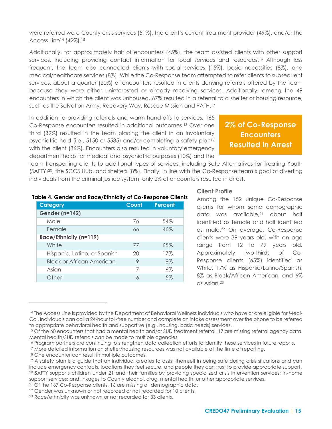were referred were County crisis services (51%), the client's current treatment provider (49%), and/or the Access Line<sup>14</sup> (42%).<sup>15</sup>

Additionally, for approximately half of encounters (45%), the team assisted clients with other support services, including providing contact information for local services and resources. <sup>16</sup> Although less frequent, the team also connected clients with social services (15%), basic necessities (8%), and medical/healthcare services (8%). While the Co-Response team attempted to refer clients to subsequent services, about a quarter (20%) of encounters resulted in clients denying referrals offered by the team because they were either uninterested or already receiving services. Additionally, among the 49 encounters in which the client was unhoused, 67% resulted in a referral to a shelter or housing resource, such as the Salvation Army, Recovery Way, Rescue Mission and PATH. 17

In addition to providing referrals and warm hand-offs to services, 165 Co-Response encounters resulted in additional outcomes.<sup>18</sup> Over one third (39%) resulted in the team placing the client in an involuntary psychiatric hold (i.e., 5150 or 5585) and/or completing a safety plan<sup>19</sup> with the client (36%). Encounters also resulted in voluntary emergency department holds for medical and psychiatric purposes (10%) and the

### **2% of Co-Response Encounters Resulted in Arrest**

team transporting clients to additional types of services, including Safe Alternatives for Treating Youth (SAFTY) <sup>20</sup>, the SCCS Hub, and shelters (8%). Finally, in line with the Co-Response team's goal of diverting individuals from the criminal justice system, only 2% of encounters resulted in arrest.

#### **Table 4. Gender and Race/Ethnicity of Co-Response Clients**

| <b>Category</b>                  | Count | <b>Percent</b> |
|----------------------------------|-------|----------------|
| Gender (n=142)                   |       |                |
| Male                             | 76    | 54%            |
| Female                           | 66    | 46%            |
| Race/Ethnicity (n=119)           |       |                |
| White                            | 77    | 65%            |
| Hispanic, Latino, or Spanish     | 20    | 17%            |
| <b>Black or African American</b> | 9     | 8%             |
| Asian                            | 7     | 6%             |
| Other                            | 6     | 5%             |

#### **Client Profile**

Among the 152 unique Co-Response clients for whom some demographic data was available,<sup>21</sup> about half identified as female and half identified as male.<sup>22</sup> On average, Co-Response clients were 39 years old, with an age range from 12 to 79 years old. Approximately two-thirds of Co-Response clients (65%) identified as White, 17% as Hispanic/Latino/Spanish, 8% as Black/African American, and 6% as Asian. 23

<sup>&</sup>lt;sup>14</sup> The Access Line is provided by the Department of Behavioral Wellness individuals who have or are eligible for Medi-Cal. Individuals can call a 24-hour toll-free number and complete an intake assessment over the phone to be referred to appropriate behavioral health and supportive (e.g., housing, basic needs) services.

<sup>&</sup>lt;sup>15</sup> Of the 60 encounters that had a mental health and/or SUD treatment referral, 17 are missing referral agency data. Mental health/SUD referrals can be made to multiple agencies.

<sup>&</sup>lt;sup>16</sup> Program partners are continuing to strengthen data collection efforts to identify these services in future reports.

<sup>&</sup>lt;sup>17</sup> More detailed information on shelter/housing resources was not available at the time of reporting.

<sup>&</sup>lt;sup>18</sup> One encounter can result in multiple outcomes.

<sup>19</sup> A safety plan is a guide that an individual creates to assist themself in being safe during crisis situations and can include emergency contacts, locations they feel secure, and people they can trust to provide appropriate support. <sup>20</sup> SAFTY supports children under 21 and their families by providing specialized crisis intervention services; in-home support services; and linkages to County alcohol, drug, mental health, or other appropriate services.

<sup>&</sup>lt;sup>21</sup> Of the 167 Co-Response clients, 16 are missing all demographic data.

<sup>22</sup> Gender was unknown or not recorded or not recorded for 10 clients.

<sup>&</sup>lt;sup>23</sup> Race/ethnicity was unknown or not recorded for 33 clients.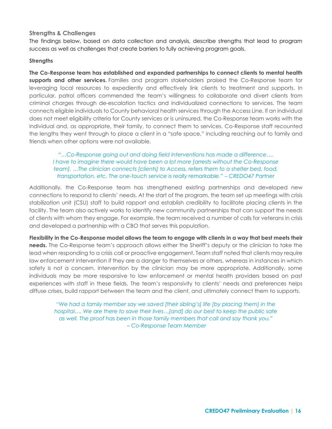#### **Strengths & Challenges**

The findings below, based on data collection and analysis, describe strengths that lead to program success as well as challenges that create barriers to fully achieving program goals.

#### **Strengths**

**The Co-Response team has established and expanded partnerships to connect clients to mental health supports and other services.** Families and program stakeholders praised the Co-Response team for leveraging local resources to expediently and effectively link clients to treatment and supports. In particular, patrol officers commended the team's willingness to collaborate and divert clients from criminal charges through de-escalation tactics and individualized connections to services. The team connects eligible individuals to County behavioral health services through the Access Line. If an individual does not meet eligibility criteria for County services or is uninsured, the Co-Response team works with the individual and, as appropriate, their family, to connect them to services. Co-Response staff recounted the lengths they went through to place a client in a "safe space," including reaching out to family and friends when other options were not available.

*"…Co-Response going out and doing field interventions has made a difference…. I have to imagine there would have been a lot more [arrests without the Co-Response team]. …The clinician connects [clients] to Access, refers them to a shelter bed, food, transportation, etc. The one-touch service is really remarkable." – CREDO47 Partner*

Additionally, the Co-Response team has strengthened existing partnerships and developed new connections to respond to clients' needs. At the start of the program, the team set up meetings with crisis stabilization unit (CSU) staff to build rapport and establish credibility to facilitate placing clients in the facility. The team also actively works to identify new community partnerships that can support the needs of clients with whom they engage. For example, the team received a number of calls for veterans in crisis and developed a partnership with a CBO that serves this population.

**Flexibility in the Co-Response model allows the team to engage with clients in a way that best meets their needs.** The Co-Response team's approach allows either the Sheriff's deputy or the clinician to take the lead when responding to a crisis call or proactive engagement. Team staff noted that clients may require law enforcement intervention if they are a danger to themselves or others, whereas in instances in which safety is not a concern, intervention by the clinician may be more appropriate. Additionally, some individuals may be more responsive to law enforcement or mental health providers based on past experiences with staff in these fields. The team's responsivity to clients' needs and preferences helps diffuse crises, build rapport between the team and the client, and ultimately connect them to supports.

*"We had a family member say we saved [their sibling's] life [by placing them] in the hospital…. We are there to save their lives…[and] do our best to keep the public safe as well. The proof has been in those family members that call and say thank you." – Co-Response Team Member*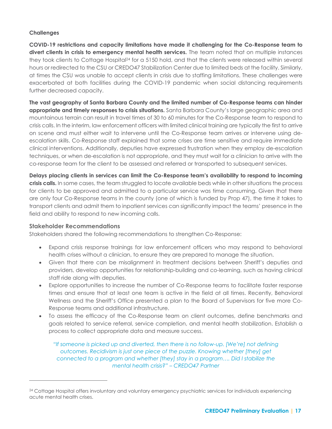#### **Challenges**

**COVID-19 restrictions and capacity limitations have made it challenging for the Co-Response team to divert clients in crisis to emergency mental health services.** The team noted that on multiple instances they took clients to Cottage Hospital<sup>24</sup> for a 5150 hold, and that the clients were released within several hours or redirected to the CSU or CREDO47 Stabilization Center due to limited beds at the facility. Similarly, at times the CSU was unable to accept clients in crisis due to staffing limitations. These challenges were exacerbated at both facilities during the COVID-19 pandemic when social distancing requirements further decreased capacity.

**The vast geography of Santa Barbara County and the limited number of Co-Response teams can hinder appropriate and timely responses to crisis situations.** Santa Barbara County's large geographic area and mountainous terrain can result in travel times of 30 to 60 minutes for the Co-Response team to respond to crisis calls. In the interim, law enforcement officers with limited clinical training are typically the first to arrive on scene and must either wait to intervene until the Co-Response team arrives or intervene using deescalation skills. Co-Response staff explained that some crises are time sensitive and require immediate clinical interventions. Additionally, deputies have expressed frustration when they employ de-escalation techniques, or when de-escalation is not appropriate, and they must wait for a clinician to arrive with the co-response team for the client to be assessed and referred or transported to subsequent services.

**Delays placing clients in services can limit the Co-Response team's availability to respond to incoming crisis calls.** In some cases, the team struggled to locate available beds while in other situations the process for clients to be approved and admitted to a particular service was time consuming. Given that there are only four Co-Response teams in the county (one of which is funded by Prop 47), the time it takes to transport clients and admit them to inpatient services can significantly impact the teams' presence in the field and ability to respond to new incoming calls.

#### **Stakeholder Recommendations**

Stakeholders shared the following recommendations to strengthen Co-Response:

- Expand crisis response trainings for law enforcement officers who may respond to behavioral health crises without a clinician, to ensure they are prepared to manage the situation.
- Given that there can be misalignment in treatment decisions between Sheriff's deputies and providers, develop opportunities for relationship-building and co-learning, such as having clinical staff ride along with deputies.
- Explore opportunities to increase the number of Co-Response teams to facilitate faster response times and ensure that at least one team is active in the field at all times. Recently, Behavioral Wellness and the Sheriff's Office presented a plan to the Board of Supervisors for five more Co-Response teams and additional infrastructure.
- To assess the efficacy of the Co-Response team on client outcomes, define benchmarks and goals related to service referral, service completion, and mental health stabilization. Establish a process to collect appropriate data and measure success.

*"If someone is picked up and diverted, then there is no follow-up. [We're] not defining outcomes. Recidivism is just one piece of the puzzle. Knowing whether [they] get connected to a program and whether [they] stay in a program…. Did I stabilize the mental health crisis?" – CREDO47 Partner*

<sup>&</sup>lt;sup>24</sup> Cottage Hospital offers involuntary and voluntary emergency psychiatric services for individuals experiencing acute mental health crises.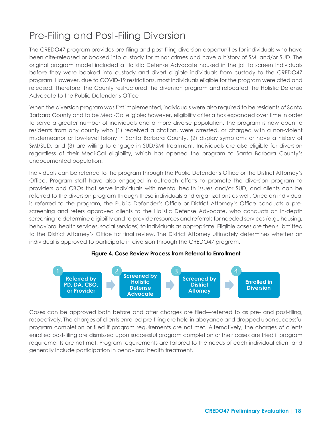### Pre-Filing and Post-Filing Diversion

The CREDO47 program provides pre-filing and post-filing diversion opportunities for individuals who have been cite-released or booked into custody for minor crimes and have a history of SMI and/or SUD. The original program model included a Holistic Defense Advocate housed in the jail to screen individuals before they were booked into custody and divert eligible individuals from custody to the CREDO47 program. However, due to COVID-19 restrictions, most individuals eligible for the program were cited and released. Therefore, the County restructured the diversion program and relocated the Holistic Defense Advocate to the Public Defender's Office

When the diversion program was first implemented, individuals were also required to be residents of Santa Barbara County and to be Medi-Cal eligible; however, eligibility criteria has expanded over time in order to serve a greater number of individuals and a more diverse population. The program is now open to residents from any county who (1) received a citation, were arrested, or charged with a non-violent misdemeanor or low-level felony in Santa Barbara County, (2) display symptoms or have a history of SMI/SUD, and (3) are willing to engage in SUD/SMI treatment. Individuals are also eligible for diversion regardless of their Medi-Cal eligibility, which has opened the program to Santa Barbara County's undocumented population.

Individuals can be referred to the program through the Public Defender's Office or the District Attorney's Office. Program staff have also engaged in outreach efforts to promote the diversion program to providers and CBOs that serve individuals with mental health issues and/or SUD, and clients can be referred to the diversion program through these individuals and organizations as well. Once an individual is referred to the program, the Public Defender's Office or District Attorney's Office conducts a prescreening and refers approved clients to the Holistic Defense Advocate, who conducts an in-depth screening to determine eligibility and to provide resources and referrals for needed services (e.g., housing, behavioral health services, social services) to individuals as appropriate. Eligible cases are then submitted to the District Attorney's Office for final review. The District Attorney ultimately determines whether an individual is approved to participate in diversion through the CREDO47 program.

#### **Figure 4. Case Review Process from Referral to Enrollment**



Cases can be approved both before and after charges are filed—referred to as pre- and post-filing, respectively. The charges of clients enrolled pre-filing are held in abeyance and dropped upon successful program completion or filed if program requirements are not met. Alternatively, the charges of clients enrolled post-filing are dismissed upon successful program completion or their cases are tried if program requirements are not met. Program requirements are tailored to the needs of each individual client and generally include participation in behavioral health treatment.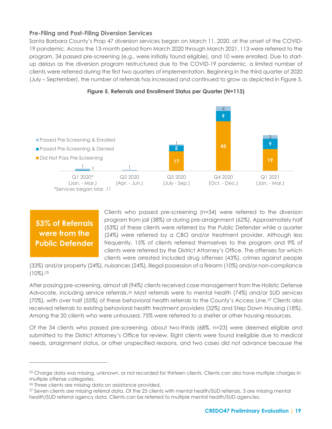#### **Pre-Filing and Post-Filing Diversion Services**

Santa Barbara County's Prop 47 diversion services began on March 11, 2020, at the onset of the COVID-19 pandemic. Across the 13-month period from March 2020 through March 2021, 113 were referred to the program, 34 passed pre-screening (e.g., were initially found eligible), and 10 were enrolled. Due to startup delays as the diversion program restructured due to the COVID-19 pandemic, a limited number of clients were referred during the first two quarters of implementation. Beginning in the third quarter of 2020 (July – September), the number of referrals has increased and continued to grow as depicted in Figure 5.





### **53% of Referrals were from the Public Defender**

Clients who passed pre-screening (n=34) were referred to the diversion program from jail (38%) or during pre-arraignment (62%). Approximately half (53%) of these clients were referred by the Public Defender while a quarter (24%) were referred by a CBO and/or treatment provider. Although less frequently, 15% of clients referred themselves to the program and 9% of clients were referred by the District Attorney's Office. The offenses for which clients were arrested included drug offenses (43%), crimes against people

(33%) and/or property (24%), nuisances (24%), illegal possession of a firearm (10%) and/or non-compliance  $(10\%)$ .  $25$ 

After passing pre-screening, almost all (94%) clients received case management from the Holistic Defense Advocate, including service referrals.<sup>26</sup> Most referrals were to mental health (74%) and/or SUD services (70%), with over half (55%) of these behavioral health referrals to the County's Access Line.<sup>27</sup> Clients also received referrals to existing behavioral health treatment providers (32%) and Step Down Housing (18%). Among the 20 clients who were unhoused, 75% were referred to a shelter or other housing resources.

Of the 34 clients who passed pre-screening, about two-thirds (68%, n=23) were deemed eligible and submitted to the District Attorney's Office for review. Eight clients were found ineligible due to medical needs, arraignment status, or other unspecified reasons, and two cases did not advance because the

<sup>&</sup>lt;sup>25</sup> Charge data was missing, unknown, or not recorded for thirteen clients. Clients can also have multiple charges in multiple offense categories.

<sup>26</sup> Three clients are missing data on assistance provided.

<sup>27</sup> Seven clients are missing referral data. Of the 25 clients with mental health/SUD referrals, 3 are missing mental health/SUD referral agency data. Clients can be referred to multiple mental health/SUD agencies.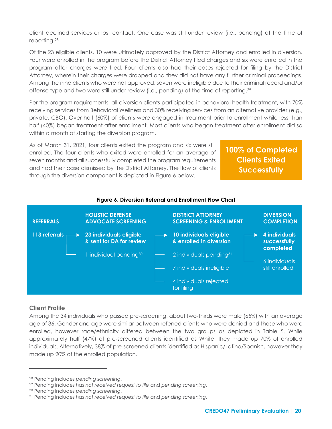client declined services or lost contact. One case was still under review (i.e., pending) at the time of reporting. 28

Of the 23 eligible clients, 10 were ultimately approved by the District Attorney and enrolled in diversion. Four were enrolled in the program before the District Attorney filed charges and six were enrolled in the program after charges were filed. Four clients also had their cases rejected for filing by the District Attorney, wherein their charges were dropped and they did not have any further criminal proceedings. Among the nine clients who were not approved, seven were ineligible due to their criminal record and/or offense type and two were still under review (i.e., pending) at the time of reporting.<sup>29</sup>

Per the program requirements, all diversion clients participated in behavioral health treatment, with 70% receiving services from Behavioral Wellness and 30% receiving services from an alternative provider (e.g., private, CBO). Over half (60%) of clients were engaged in treatment prior to enrollment while less than half (40%) began treatment after enrollment. Most clients who began treatment after enrollment did so within a month of starting the diversion program.

As of March 31, 2021, four clients exited the program and six were still enrolled. The four clients who exited were enrolled for an average of seven months and all successfully completed the program requirements and had their case dismissed by the District Attorney. The flow of clients through the diversion component is depicted in Figure 6 below.

**100% of Completed Clients Exited Successfully**



#### **Figure 6. Diversion Referral and Enrollment Flow Chart**

#### **Client Profile**

Among the 34 individuals who passed pre-screening, about two-thirds were male (65%) with an average age of 36. Gender and age were similar between referred clients who were denied and those who were enrolled, however race/ethnicity differed between the two groups as depicted in [Table 5.](#page-21-0) While approximately half (47%) of pre-screened clients identified as White, they made up 70% of enrolled individuals. Alternatively, 38% of pre-screened clients identified as Hispanic/Latino/Spanish, however they made up 20% of the enrolled population.

<sup>28</sup> Pending includes *pending screening*.

<sup>29</sup> Pending includes *has not received request to file* and *pending screening*.

<sup>30</sup> Pending includes *pending screening*.

<sup>31</sup> Pending includes *has not received request to file* and *pending screening*.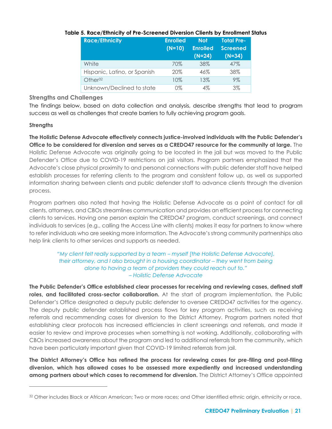| <b>Race/Ethnicity</b>        | <b>Enrolled</b> | <b>Not</b>      | <b>Total Pre-</b> |
|------------------------------|-----------------|-----------------|-------------------|
|                              | $(N=10)$        | <b>Enrolled</b> | <b>Screened</b>   |
|                              |                 | $(N=24)$        | $(N=34)$          |
| White                        | 70%             | 38%             | 47%               |
| Hispanic, Latino, or Spanish | 20%             | 46%             | 38%               |
| Other <sub>32</sub>          | 10%             | 13%             | $9\%$             |
| Unknown/Declined to state    | 0%              | 4%              | $3\%$             |

#### <span id="page-21-0"></span>**Table 5. Race/Ethnicity of Pre-Screened Diversion Clients by Enrollment Status**

**Strengths and Challenges**

The findings below, based on data collection and analysis, describe strengths that lead to program success as well as challenges that create barriers to fully achieving program goals.

#### **Strengths**

**The Holistic Defense Advocate effectively connects justice-involved individuals with the Public Defender's Office to be considered for diversion and serves as a CREDO47 resource for the community at large.** The Holistic Defense Advocate was originally going to be located in the jail but was moved to the Public Defender's Office due to COVID-19 restrictions on jail visitors. Program partners emphasized that the Advocate's close physical proximity to and personal connections with public defender staff have helped establish processes for referring clients to the program and consistent follow up, as well as supported information sharing between clients and public defender staff to advance clients through the diversion process.

Program partners also noted that having the Holistic Defense Advocate as a point of contact for all clients, attorneys, and CBOs streamlines communication and provides an efficient process for connecting clients to services. Having one person explain the CREDO47 program, conduct screenings, and connect individuals to services (e.g., calling the Access Line with clients) makes it easy for partners to know where to refer individuals who are seeking more information. The Advocate's strong community partnerships also help link clients to other services and supports as needed.

#### *"My client felt really supported by a team – myself [the Holistic Defense Advocate], their attorney, and I also brought in a housing coordinator – they went from being alone to having a team of providers they could reach out to." – Holistic Defense Advocate*

**The Public Defender's Office established clear processes for receiving and reviewing cases, defined staff roles, and facilitated cross-sector collaboration.** At the start of program implementation, the Public Defender's Office designated a deputy public defender to oversee CREDO47 activities for the agency. The deputy public defender established process flows for key program activities, such as receiving referrals and recommending cases for diversion to the District Attorney. Program partners noted that establishing clear protocols has increased efficiencies in client screenings and referrals, and made it easier to review and improve processes when something is not working. Additionally, collaborating with CBOs increased awareness about the program and led to additional referrals from the community, which have been particularly important given that COVID-19 limited referrals from jail.

**The District Attorney's Office has refined the process for reviewing cases for pre-filing and post-filing diversion, which has allowed cases to be assessed more expediently and increased understanding among partners about which cases to recommend for diversion.** The District Attorney's Office appointed

<sup>32</sup> Other includes Black or African American; Two or more races; and Other identified ethnic origin, ethnicity or race.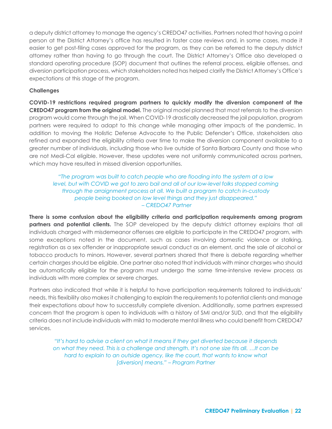a deputy district attorney to manage the agency's CREDO47 activities. Partners noted that having a point person at the District Attorney's office has resulted in faster case reviews and, in some cases, made it easier to get post-filing cases approved for the program, as they can be referred to the deputy district attorney rather than having to go through the court. The District Attorney's Office also developed a standard operating procedure (SOP) document that outlines the referral process, eligible offenses, and diversion participation process, which stakeholders noted has helped clarify the District Attorney's Office's expectations at this stage of the program.

#### **Challenges**

**COVID-19 restrictions required program partners to quickly modify the diversion component of the CREDO47 program from the original model.** The original model planned that most referrals to the diversion program would come through the jail. When COVID-19 drastically decreased the jail population, program partners were required to adapt to this change while managing other impacts of the pandemic. In addition to moving the Holistic Defense Advocate to the Public Defender's Office, stakeholders also refined and expanded the eligibility criteria over time to make the diversion component available to a greater number of individuals, including those who live outside of Santa Barbara County and those who are not Medi-Cal eligible. However, these updates were not uniformly communicated across partners, which may have resulted in missed diversion opportunities.

#### *"The program was built to catch people who are flooding into the system at a low level, but with COVID we got to zero bail and all of our low-level folks stopped coming through the arraignment process at all. We built a program to catch in-custody people being booked on low level things and they just disappeared." – CREDO47 Partner*

**There is some confusion about the eligibility criteria and participation requirements among program partners and potential clients.** The SOP developed by the deputy district attorney explains that all individuals charged with misdemeanor offenses are eligible to participate in the CREDO47 program, with some exceptions noted in the document, such as cases involving domestic violence or stalking, registration as a sex offender or inappropriate sexual conduct as an element, and the sale of alcohol or tobacco products to minors. However, several partners shared that there is debate regarding whether certain charges should be eligible. One partner also noted that individuals with minor charges who should be automatically eligible for the program must undergo the same time-intensive review process as individuals with more complex or severe charges.

Partners also indicated that while it is helpful to have participation requirements tailored to individuals' needs, this flexibility also makes it challenging to explain the requirements to potential clients and manage their expectations about how to successfully complete diversion. Additionally, some partners expressed concern that the program is open to individuals with a history of SMI and/or SUD, and that the eligibility criteria does not include individuals with mild to moderate mental illness who could benefit from CREDO47 services.

*"It's hard to advise a client on what it means if they get diverted because it depends on what they need. This is a challenge and strength. It's not one size fits all. …It can be hard to explain to an outside agency, like the court, that wants to know what [diversion] means." – Program Partner*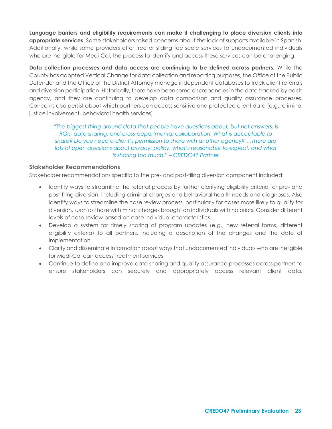**Language barriers and eligibility requirements can make it challenging to place diversion clients into appropriate services.** Some stakeholders raised concerns about the lack of supports available in Spanish. Additionally, while some providers offer free or sliding fee scale services to undocumented individuals who are ineligible for Medi-Cal, the process to identify and access these services can be challenging.

**Data collection processes and data access are continuing to be defined across partners.** While the County has adopted Vertical Change for data collection and reporting purposes, the Office of the Public Defender and the Office of the District Attorney manage independent databases to track client referrals and diversion participation. Historically, there have been some discrepancies in the data tracked by each agency, and they are continuing to develop data comparison and quality assurance processes. Concerns also persist about which partners can access sensitive and protected client data (e.g., criminal justice involvement, behavioral health services).

*"The biggest thing around data that people have questions about, but not answers, is ROIs, data sharing, and cross-departmental collaboration. What is acceptable to share? Do you need a client's permission to share with another agency? …There are lots of open questions about privacy, policy, what's reasonable to expect, and what is sharing too much." – CREDO47 Partner*

#### **Stakeholder Recommendations**

Stakeholder recommendations specific to the pre- and post-filing diversion component included:

- Identify ways to streamline the referral process by further clarifying eligibility criteria for pre- and post-filing diversion, including criminal charges and behavioral health needs and diagnoses. Also identify ways to streamline the case review process, particularly for cases more likely to qualify for diversion, such as those with minor charges brought on individuals with no priors. Consider different levels of case review based on case individual characteristics.
- Develop a system for timely sharing of program updates (e.g., new referral forms, different eligibility criteria) to all partners, including a description of the changes and the date of implementation.
- Clarify and disseminate information about ways that undocumented individuals who are ineligible for Medi-Cal can access treatment services.
- <span id="page-23-0"></span>• Continue to define and improve data sharing and quality assurance processes across partners to ensure stakeholders can securely and appropriately access relevant client data.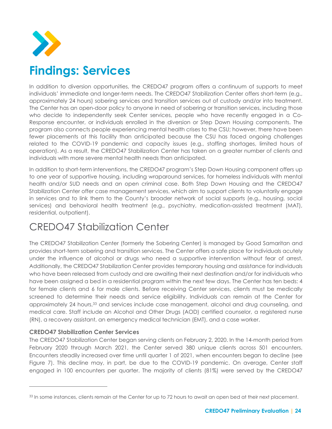

# **Findings: Services**

In addition to diversion opportunities, the CREDO47 program offers a continuum of supports to meet individuals' immediate and longer-term needs. The CREDO47 Stabilization Center offers short-term (e.g., approximately 24 hours) sobering services and transition services out of custody and/or into treatment. The Center has an open-door policy to anyone in need of sobering or transition services, including those who decide to independently seek Center services, people who have recently engaged in a Co-Response encounter, or individuals enrolled in the diversion or Step Down Housing components. The program also connects people experiencing mental health crises to the CSU; however, there have been fewer placements at this facility than anticipated because the CSU has faced ongoing challenges related to the COVID-19 pandemic and capacity issues (e.g., staffing shortages, limited hours of operation). As a result, the CREDO47 Stabilization Center has taken on a greater number of clients and individuals with more severe mental health needs than anticipated.

In addition to short-term interventions, the CREDO47 program's Step Down Housing component offers up to one year of supportive housing, including wraparound services, for homeless individuals with mental health and/or SUD needs and an open criminal case. Both Step Down Housing and the CREDO47 Stabilization Center offer case management services, which aim to support clients to voluntarily engage in services and to link them to the County's broader network of social supports (e.g., housing, social services) and behavioral health treatment (e.g., psychiatry, medication-assisted treatment (MAT), residential, outpatient).

### CREDO47 Stabilization Center

The CREDO47 Stabilization Center (formerly the Sobering Center) is managed by Good Samaritan and provides short-term sobering and transition services. The Center offers a safe place for individuals acutely under the influence of alcohol or drugs who need a supportive intervention without fear of arrest. Additionally, the CREDO47 Stabilization Center provides temporary housing and assistance for individuals who have been released from custody and are awaiting their next destination and/or for individuals who have been assigned a bed in a residential program within the next few days. The Center has ten beds: 4 for female clients and 6 for male clients. Before receiving Center services, clients must be medically screened to determine their needs and service eligibility. Individuals can remain at the Center for approximately 24 hours,<sup>33</sup> and services include case management, alcohol and drug counseling, and medical care. Staff include an Alcohol and Other Drugs (AOD) certified counselor, a registered nurse (RN), a recovery assistant, an emergency medical technician (EMT), and a case worker.

#### **CREDO47 Stabilization Center Services**

The CREDO47 Stabilization Center began serving clients on February 2, 2020. In the 14-month period from February 2020 through March 2021, the Center served 380 unique clients across 501 encounters. Encounters steadily increased over time until quarter 1 of 2021, when encounters began to decline (see [Figure 7\)](#page-25-0). This decline may, in part, be due to the COVID-19 pandemic. On average, Center staff engaged in 100 encounters per quarter. The majority of clients (81%) were served by the CREDO47

<sup>33</sup> In some instances, clients remain at the Center for up to 72 hours to await an open bed at their next placement.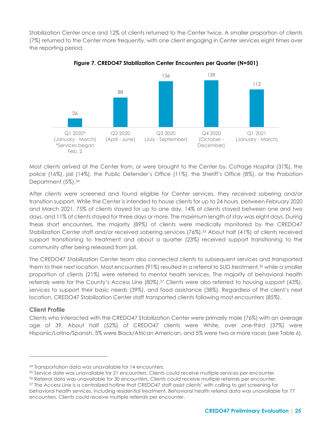Stabilization Center once and 12% of clients returned to the Center twice. A smaller proportion of clients (7%) returned to the Center more frequently, with one client engaging in Center services eight times over the reporting period.

<span id="page-25-0"></span>

**Figure 7. CREDO47 Stabilization Center Encounters per Quarter (N=501)**

Most clients arrived at the Center from, or were brought to the Center by, Cottage Hospital (31%), the police (16%), jail (14%), the Public Defender's Office (11%), the Sheriff's Office (8%), or the Probation Department (5%). 34

After clients were screened and found eligible for Center services, they received sobering and/or transition support. While the Center is intended to house clients for up to 24 hours, between February 2020 and March 2021, 75% of clients stayed for up to one day, 14% of clients stayed between one and two days, and 11% of clients stayed for three days or more. The maximum length of stay was eight days. During these short encounters, the majority (89%) of clients were medically monitored by the CREDO47 Stabilization Center staff and/or received sobering services (76%).<sup>35</sup> About half (41%) of clients received support transitioning to treatment and about a quarter (23%) received support transitioning to the community after being released from jail.

The CREDO47 Stabilization Center team also connected clients to subsequent services and transported them to their next location. Most encounters (91%) resulted in a referral to SUD treatment,<sup>36</sup> while a smaller proportion of clients (21%) were referred to mental health services. The majority of behavioral health referrals were for the County's Access Line (80%).<sup>37</sup> Clients were also referred to housing support (43%), services to support their basic needs (39%), and food assistance (38%). Regardless of the client's next location, CREDO47 Stabilization Center staff transported clients following most encounters (85%).

#### **Client Profile**

Clients who interacted with the CREDO47 Stabilization Center were primarily male (76%) with an average age of 39. About half (52%) of CREDO47 clients were White, over one-third (37%) were Hispanic/Latino/Spanish, 5% were Black/African American, and 5% were two or more races (see Table 6).

<sup>34</sup> Transportation data was unavailable for 14 encounters.

<sup>35</sup> Service date was unavailable for 21 encounters. Clients could receive multiple services per encounter.

<sup>36</sup> Referral data was unavailable for 30 encounters. Clients could receive multiple referrals per encounter.

<sup>37</sup> The Access Line is a centralized hotline that CREDO47 staff assist clients' with calling to get screening for behavioral health services, including residential treatment. Behavioral health referral data was unavailable for 77 encounters. Clients could receive multiple referrals per encounter.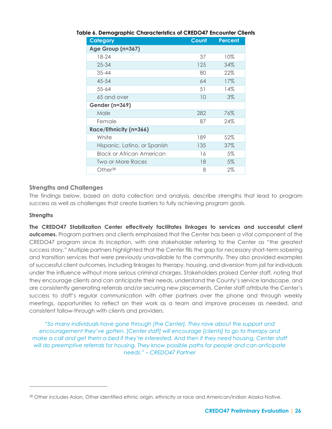| <b>Category</b>                  | Count | <b>Percent</b> |
|----------------------------------|-------|----------------|
| Age Group (n=367)                |       |                |
| $18 - 24$                        | 37    | 10%            |
| $25 - 34$                        | 125   | 34%            |
| $35 - 44$                        | 80    | 22%            |
| 45-54                            | 64    | 17%            |
| $55 - 64$                        | 51    | 14%            |
| 65 and over                      | 10    | $3\%$          |
| <b>Gender (n=369)</b>            |       |                |
| Male                             | 282   | 76%            |
| Female                           | 87    | 24%            |
| Race/Ethnicity (n=366)           |       |                |
| White                            | 189   | 52%            |
| Hispanic, Latino, or Spanish     | 135   | 37%            |
| <b>Black or African American</b> | 16    | 5%             |
| Two or More Races                | 18    | 5%             |
| Other <sup>38</sup>              | 8     | $2\%$          |

#### **Table 6. Demographic Characteristics of CREDO47 Encounter Clients**

#### **Strengths and Challenges**

The findings below, based on data collection and analysis, describe strengths that lead to program success as well as challenges that create barriers to fully achieving program goals.

#### **Strengths**

**The CREDO47 Stabilization Center effectively facilitates linkages to services and successful client outcomes.** Program partners and clients emphasized that the Center has been a vital component of the CREDO47 program since its inception, with one stakeholder referring to the Center as "the greatest success story." Multiple partners highlighted that the Center fills the gap for necessary short-term sobering and transition services that were previously unavailable to the community. They also provided examples of successful client outcomes, including linkages to therapy, housing, and diversion from jail for individuals under the influence without more serious criminal charges. Stakeholders praised Center staff, noting that they encourage clients and can anticipate their needs, understand the County's service landscape, and are consistently generating referrals and/or securing new placements. Center staff attribute the Center's success to staff's regular communication with other partners over the phone and through weekly meetings, opportunities to reflect on their work as a team and improve processes as needed, and consistent follow-through with clients and providers.

*"So many individuals have gone through [the Center]. They rave about the support and encouragement they've gotten. [Center staff] will encourage [clients] to go to therapy and make a call and get them a bed if they're interested. And then if they need housing, Center staff will do preemptive referrals for housing. They know possible paths for people and can anticipate needs." – CREDO47 Partner*

<sup>38</sup> Other includes Asian, Other identified ethnic origin, ethnicity or race and American/Indian Alaska Native.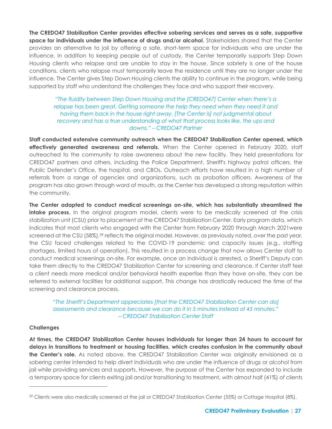**The CREDO47 Stabilization Center provides effective sobering services and serves as a safe, supportive space for individuals under the influence of drugs and/or alcohol.** Stakeholders shared that the Center provides an alternative to jail by offering a safe, short-term space for individuals who are under the influence. In addition to keeping people out of custody, the Center temporarily supports Step Down Housing clients who relapse and are unable to stay in the house. Since sobriety is one of the house conditions, clients who relapse must temporarily leave the residence until they are no longer under the influence. The Center gives Step Down Housing clients the ability to continue in the program, while being supported by staff who understand the challenges they face and who support their recovery.

#### *"The fluidity between Step Down Housing and the [CREDO47] Center when there's a relapse has been great. Getting someone the help they need when they need it and having them back in the house right away. [The Center is] not judgmental about recovery and has a true understanding of what that process looks like, the ups and downs." – CREDO47 Partner*

**Staff conducted extensive community outreach when the CREDO47 Stabilization Center opened, which effectively generated awareness and referrals.** When the Center opened in February 2020, staff outreached to the community to raise awareness about the new facility. They held presentations for CREDO47 partners and others, including the Police Department, Sheriff's highway patrol officers, the Public Defender's Office, the hospital, and CBOs. Outreach efforts have resulted in a high number of referrals from a range of agencies and organizations, such as probation officers. Awareness of the program has also grown through word of mouth, as the Center has developed a strong reputation within the community.

**The Center adapted to conduct medical screenings on-site, which has substantially streamlined the intake process.** In the original program model, clients were to be medically screened at the crisis stabilization unit (CSU) prior to placement at the CREDO47 Stabilization Center. Early program data, which indicates that most clients who engaged with the Center from February 2020 through March 2021were screened at the CSU (58%),<sup>39</sup> reflects the original model. However, as previously noted, over the past year, the CSU faced challenges related to the COVID-19 pandemic and capacity issues (e.g., staffing shortages, limited hours of operation). This resulted in a process change that now allows Center staff to conduct medical screenings on-site. For example, once an individual is arrested, a Sheriff's Deputy can take them directly to the CREDO47 Stabilization Center for screening and clearance. If Center staff feel a client needs more medical and/or behavioral health expertise than they have on-site, they can be referred to external facilities for additional support. This change has drastically reduced the time of the screening and clearance process.

*"The Sheriff's Department appreciates [that the CREDO47 Stabilization Center can do] assessments and clearance because we can do it in 5 minutes instead of 45 minutes." – CREDO47 Stabilization Center Staff*

#### **Challenges**

**At times, the CREDO47 Stabilization Center houses individuals for longer than 24 hours to account for delays in transitions to treatment or housing facilities, which creates confusion in the community about the Center's role.** As noted above, the CREDO47 Stabilization Center was originally envisioned as a sobering center intended to help divert individuals who are under the influence of drugs or alcohol from jail while providing services and supports. However, the purpose of the Center has expanded to include a temporary space for clients exiting jail and/or transitioning to treatment, with almost half (41%) of clients

<sup>39</sup> Clients were also medically screened at the jail or CREDO47 Stabilization Center (35%) or Cottage Hospital (8%).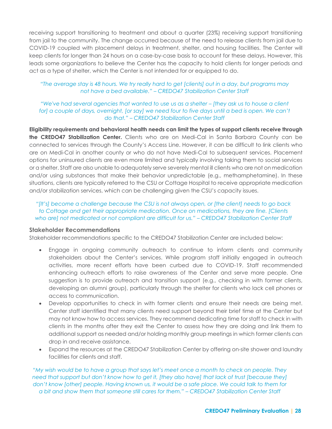receiving support transitioning to treatment and about a quarter (23%) receiving support transitioning from jail to the community. The change occurred because of the need to release clients from jail due to COVID-19 coupled with placement delays in treatment, shelter, and housing facilities. The Center will keep clients for longer than 24 hours on a case-by-case basis to account for these delays. However, this leads some organizations to believe the Center has the capacity to hold clients for longer periods and act as a type of shelter, which the Center is not intended for or equipped to do.

#### *"The average stay is 48 hours. We try really hard to get [clients] out in a day, but programs may not have a bed available." – CREDO47 Stabilization Center Staff*

*"We've had several agencies that wanted to use us as a shelter – [they ask us to house a client for] a couple of days, overnight, [or say] we need four to five days until a bed is open. We can't do that." – CREDO47 Stabilization Center Staff*

**Eligibility requirements and behavioral health needs can limit the types of support clients receive through the CREDO47 Stabilization Center.** Clients who are on Medi-Cal in Santa Barbara County can be connected to services through the County's Access Line. However, it can be difficult to link clients who are on Medi-Cal in another county or who do not have Medi-Cal to subsequent services. Placement options for uninsured clients are even more limited and typically involving taking them to social services or a shelter. Staff are also unable to adequately serve severely mental ill clients who are not on medication and/or using substances that make their behavior unpredictable (e.g., methamphetamine). In these situations, clients are typically referred to the CSU or Cottage Hospital to receive appropriate medication and/or stabilization services, which can be challenging given the CSU's capacity issues.

*"[It's] become a challenge because the CSU is not always open, or [the client] needs to go back to Cottage and get their appropriate medication. Once on medications, they are fine. [Clients who are] not medicated or not compliant are difficult for us." – CREDO47 Stabilization Center Staff*

#### **Stakeholder Recommendations**

Stakeholder recommendations specific to the CREDO47 Stabilization Center are included below:

- Engage in ongoing community outreach to continue to inform clients and community stakeholders about the Center's services. While program staff initially engaged in outreach activities, more recent efforts have been curbed due to COVID-19. Staff recommended enhancing outreach efforts to raise awareness of the Center and serve more people. One suggestion is to provide outreach and transition support (e.g., checking in with former clients, developing an alumni group), particularly through the shelter for clients who lack cell phones or access to communication.
- Develop opportunities to check in with former clients and ensure their needs are being met. Center staff identified that many clients need support beyond their brief time at the Center but may not know how to access services. They recommend dedicating time for staff to check in with clients in the months after they exit the Center to assess how they are doing and link them to additional support as needed and/or holding monthly group meetings in which former clients can drop in and receive assistance.
- Expand the resources at the CREDO47 Stabilization Center by offering on-site shower and laundry facilities for clients and staff.

*"My wish would be to have a group that says let's meet once a month to check on people. They need that support but don't know how to get it, [they also have] that lack of trust [because they] don't know [other] people. Having known us, it would be a safe place. We could talk to them for a bit and show them that someone still cares for them." – CREDO47 Stabilization Center Staff*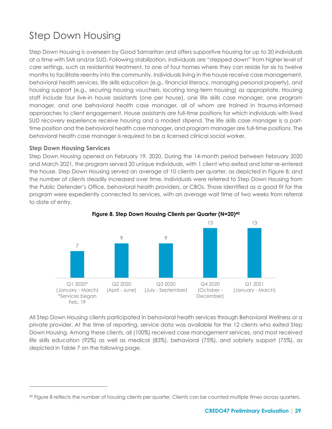### Step Down Housing

Step Down Housing is overseen by Good Samaritan and offers supportive housing for up to 20 individuals at a time with SMI and/or SUD. Following stabilization, individuals are "stepped down" from higher level of care settings, such as residential treatment, to one of four homes where they can reside for six to twelve months to facilitate reentry into the community. Individuals living in the house receive case management, behavioral health services, life skills education (e.g., financial literacy, managing personal property), and housing support (e.g., securing housing vouchers, locating long-term housing) as appropriate. Housing staff include four live-in house assistants (one per house), one life skills case manager, one program manager, and one behavioral health case manager, all of whom are trained in trauma-informed approaches to client engagement. House assistants are full-time positions for which individuals with lived SUD recovery experience receive housing and a modest stipend. The life skills case manager is a parttime position and the behavioral health case manager, and program manager are full-time positions. The behavioral health case manager is required to be a licensed clinical social worker.

#### **Step Down Housing Services**

Step Down Housing opened on February 19, 2020. During the 14-month period between February 2020 and March 2021, the program served 20 unique individuals, with 1 client who exited and later re-entered the house. Step Down Housing served an average of 10 clients per quarter, as depicted in Figure 8, and the number of clients steadily increased over time. Individuals were referred to Step Down Housing from the Public Defender's Office, behavioral health providers, or CBOs. Those identified as a good fit for the program were expediently connected to services, with an average wait time of two weeks from referral to date of entry.





All Step Down Housing clients participated in behavioral health services through Behavioral Wellness or a private provider. At the time of reporting, service data was available for the 12 clients who exited Step Down Housing. Among these clients, all (100%) received case management services, and most received life skills education (92%) as well as medical (83%), behavioral (75%), and sobriety support (75%), as depicted in Table 7 on the following page.

<sup>40</sup> Figure 8 reflects the number of housing clients per quarter. Clients can be counted multiple times across quarters.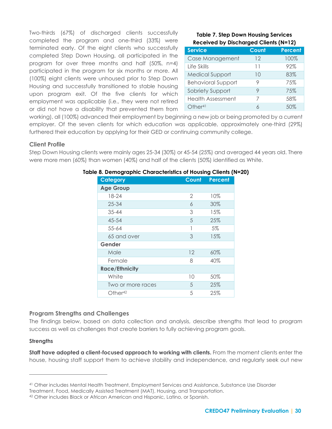Two-thirds (67%) of discharged clients successfully completed the program and one-third (33%) were terminated early. Of the eight clients who successfully completed Step Down Housing, all participated in the program for over three months and half (50%, n=4) participated in the program for six months or more. All (100%) eight clients were unhoused prior to Step Down Housing and successfully transitioned to stable housing upon program exit. Of the five clients for which employment was applicable (i.e., they were not retired or did not have a disability that prevented them from

#### **Table 7. Step Down Housing Services Received by Discharged Clients (N=12)**

<span id="page-30-0"></span>

| <b>Service</b>            | <b>Count</b> | <b>Percent</b> |
|---------------------------|--------------|----------------|
| Case Management           | 12           | 100%           |
| Life Skills               | 11           | 92%            |
| <b>Medical Support</b>    | 10           | 83%            |
| <b>Behavioral Support</b> |              | 75%            |
| Sobriety Support          | 9            | 75%            |
| <b>Health Assessment</b>  | 7            | 58%            |
| Other <sup>41</sup>       | 6            | 50%            |

working), all (100%) advanced their employment by beginning a new job or being promoted by a current employer. Of the seven clients for which education was applicable, approximately one-third (29%) furthered their education by applying for their GED or continuing community college.

#### **Client Profile**

Step Down Housing clients were mainly ages 25-34 (30%) or 45-54 (25%) and averaged 44 years old. There were more men (60%) than women (40%) and half of the clients (50%) identified as White.

| <b>Category</b>       | Count | <b>Percent</b> |
|-----------------------|-------|----------------|
| <b>Age Group</b>      |       |                |
| 18-24                 | 2     | 10%            |
| $25 - 34$             | 6     | 30%            |
| $35 - 44$             | 3     | 15%            |
| $45 - 54$             | 5     | 25%            |
| 55-64                 |       | 5%             |
| 65 and over           | 3     | 15%            |
| Gender                |       |                |
| Male                  | 12    | 60%            |
| Female                | 8     | 40%            |
| <b>Race/Ethnicity</b> |       |                |
| White                 | 10    | 50%            |
| Two or more races     | 5     | 25%            |
| Other <sup>42</sup>   | 5     | 25%            |

#### **Table 8. Demographic Characteristics of Housing Clients (N=20)**

#### **Program Strengths and Challenges**

The findings below, based on data collection and analysis, describe strengths that lead to program success as well as challenges that create barriers to fully achieving program goals.

#### **Strengths**

**Staff have adopted a client-focused approach to working with clients.** From the moment clients enter the house, housing staff support them to achieve stability and independence, and regularly seek out new

<sup>41</sup> Other includes Mental Health Treatment, Employment Services and Assistance, Substance Use Disorder

Treatment, Food, Medically Assisted Treatment (MAT), Housing, and Transportation.

<sup>42</sup> Other includes Black or African American and Hispanic, Latino, or Spanish.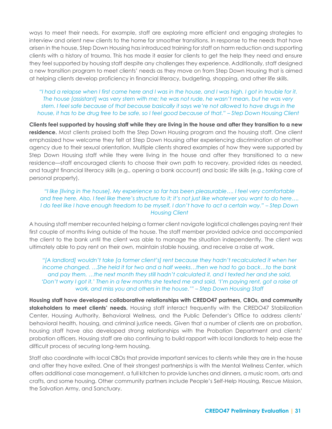ways to meet their needs. For example, staff are exploring more efficient and engaging strategies to interview and orient new clients to the home for smoother transitions. In response to the needs that have arisen in the house, Step Down Housing has introduced training for staff on harm reduction and supporting clients with a history of trauma. This has made it easier for clients to get the help they need and ensure they feel supported by housing staff despite any challenges they experience. Additionally, staff designed a new transition program to meet clients' needs as they move on from Step Down Housing that is aimed at helping clients develop proficiency in financial literacy, budgeting, shopping, and other life skills.

#### *"I had a relapse when I first came here and I was in the house, and I was high. I got in trouble for it. The house [assistant] was very stern with me; he was not rude, he wasn't mean, but he was very stern. I feel safe because of that because basically it says we're not allowed to have drugs in the house, it has to be drug free to be safe, so I feel good because of that." – Step Down Housing Client*

**Clients feel supported by housing staff while they are living in the house and after they transition to a new residence.** Most clients praised both the Step Down Housing program and the housing staff. One client emphasized how welcome they felt at Step Down Housing after experiencing discrimination at another agency due to their sexual orientation. Multiple clients shared examples of how they were supported by Step Down Housing staff while they were living in the house and after they transitioned to a new residence—staff encouraged clients to choose their own path to recovery, provided rides as needed, and taught financial literacy skills (e.g., opening a bank account) and basic life skills (e.g., taking care of personal property).

#### *"I like [living in the house]. My experience so far has been pleasurable…. I feel very comfortable and free here. Also, I feel like there's structure to it; it's not just like whatever you want to do here…. I do feel like I have enough freedom to be myself, I don't have to act a certain way." – Step Down Housing Client*

A housing staff member recounted helping a former client navigate logistical challenges paying rent their first couple of months living outside of the house. The staff member provided advice and accompanied the client to the bank until the client was able to manage the situation independently. The client was ultimately able to pay rent on their own, maintain stable housing, and receive a raise at work.

*"[A landlord] wouldn't take [a former client's] rent because they hadn't recalculated it when her income changed. …She held it for two and a half weeks…then we had to go back…to the bank and pay them. …the next month they still hadn't calculated it, and I texted her and she said, 'Don't worry I got it.' Then in a few months she texted me and said, 'I'm paying rent, got a raise at work, and miss you and others in the house.'" – Step Down Housing Staff*

**Housing staff have developed collaborative relationships with CREDO47 partners, CBOs, and community stakeholders to meet clients' needs.** Housing staff interact frequently with the CREDO47 Stabilization Center, Housing Authority, Behavioral Wellness, and the Public Defender's Office to address clients' behavioral health, housing, and criminal justice needs. Given that a number of clients are on probation, housing staff have also developed strong relationships with the Probation Department and clients' probation officers. Housing staff are also continuing to build rapport with local landlords to help ease the difficult process of securing long-term housing.

Staff also coordinate with local CBOs that provide important services to clients while they are in the house and after they have exited. One of their strongest partnerships is with the Mental Wellness Center, which offers additional case management, a full kitchen to provide lunches and dinners, a music room, arts and crafts, and some housing. Other community partners include People's Self-Help Housing, Rescue Mission, the Salvation Army, and Sanctuary.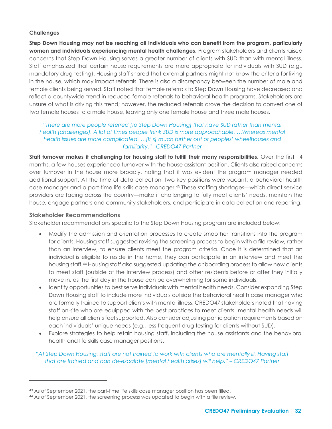#### **Challenges**

**Step Down Housing may not be reaching all individuals who can benefit from the program, particularly women and individuals experiencing mental health challenges.** Program stakeholders and clients raised concerns that Step Down Housing serves a greater number of clients with SUD than with mental illness. Staff emphasized that certain house requirements are more appropriate for individuals with SUD (e.g., mandatory drug testing). Housing staff shared that external partners might not know the criteria for living in the house, which may impact referrals. There is also a discrepancy between the number of male and female clients being served. Staff noted that female referrals to Step Down Housing have decreased and reflect a countywide trend in reduced female referrals to behavioral health programs. Stakeholders are unsure of what is driving this trend; however, the reduced referrals drove the decision to convert one of two female houses to a male house, leaving only one female house and three male houses.

#### *"There are more people referred [to Step Down Housing] that have SUD rather than mental health [challenges]. A lot of times people think SUD is more approachable. …Whereas mental health issues are more complicated. …[It's] much further out of peoples' wheelhouses and familiarity."– CREDO47 Partner*

**Staff turnover makes it challenging for housing staff to fulfill their many responsibilities.** Over the first 14 months, a few houses experienced turnover with the house assistant position. Clients also raised concerns over turnover in the house more broadly, noting that it was evident the program manager needed additional support. At the time of data collection, two key positions were vacant: a behavioral health case manager and a part-time life skills case manager.<sup>43</sup> These staffing shortages—which direct service providers are facing across the country—make it challenging to fully meet clients' needs, maintain the house, engage partners and community stakeholders, and participate in data collection and reporting.

#### **Stakeholder Recommendations**

Stakeholder recommendations specific to the Step Down Housing program are included below:

- Modify the admission and orientation processes to create smoother transitions into the program for clients. Housing staff suggested revising the screening process to begin with a file review, rather than an interview, to ensure clients meet the program criteria. Once it is determined that an individual is eligible to reside in the home, they can participate in an interview and meet the housing staff.<sup>44</sup> Housing staff also suggested updating the onboarding process to allow new clients to meet staff (outside of the interview process) and other residents before or after they initially move in, as the first day in the house can be overwhelming for some individuals.
- Identify opportunities to best serve individuals with mental health needs. Consider expanding Step Down Housing staff to include more individuals outside the behavioral health case manager who are formally trained to support clients with mental illness. CREDO47 stakeholders noted that having staff on-site who are equipped with the best practices to meet clients' mental health needs will help ensure all clients feel supported. Also consider adjusting participation requirements based on each individuals' unique needs (e.g., less frequent drug testing for clients without SUD).
- Explore strategies to help retain housing staff, including the house assistants and the behavioral health and life skills case manager positions.

#### *"At Step Down Housing, staff are not trained to work with clients who are mentally ill. Having staff that are trained and can de-escalate [mental health crises] will help." – CREDO47 Partner*

<sup>43</sup> As of September 2021, the part-time life skills case manager position has been filled.

<sup>44</sup> As of September 2021, the screening process was updated to begin with a file review.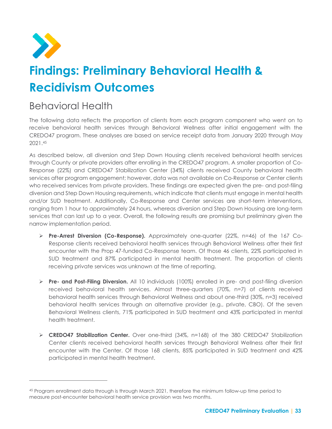<span id="page-33-0"></span>

# **Findings: Preliminary Behavioral Health & Recidivism Outcomes**

### Behavioral Health

The following data reflects the proportion of clients from each program component who went on to receive behavioral health services through Behavioral Wellness after initial engagement with the CREDO47 program. These analyses are based on service receipt data from January 2020 through May 2021.<sup>45</sup>

As described below, all diversion and Step Down Housing clients received behavioral health services through County or private providers after enrolling in the CREDO47 program. A smaller proportion of Co-Response (22%) and CREDO47 Stabilization Center (34%) clients received County behavioral health services after program engagement; however, data was not available on Co-Response or Center clients who received services from private providers. These findings are expected given the pre- and post-filing diversion and Step Down Housing requirements, which indicate that clients must engage in mental health and/or SUD treatment. Additionally, Co-Response and Center services are short-term interventions, ranging from 1 hour to approximately 24 hours, whereas diversion and Step Down Housing are long-term services that can last up to a year. Overall, the following results are promising but preliminary given the narrow implementation period.

- ➢ **Pre-Arrest Diversion (Co-Response).** Approximately one-quarter (22%, n=46) of the 167 Co-Response clients received behavioral health services through Behavioral Wellness after their first encounter with the Prop 47-funded Co-Response team. Of those 46 clients, 22% participated in SUD treatment and 87% participated in mental health treatment. The proportion of clients receiving private services was unknown at the time of reporting.
- ➢ **Pre- and Post-Filing Diversion.** All 10 individuals (100%) enrolled in pre- and post-filing diversion received behavioral health services. Almost three-quarters (70%, n=7) of clients received behavioral health services through Behavioral Wellness and about one-third (30%, n=3) received behavioral health services through an alternative provider (e.g., private, CBO). Of the seven Behavioral Wellness clients, 71% participated in SUD treatment and 43% participated in mental health treatment.
- ➢ **CREDO47 Stabilization Center.** Over one-third (34%, n=168) of the 380 CREDO47 Stabilization Center clients received behavioral health services through Behavioral Wellness after their first encounter with the Center. Of those 168 clients, 85% participated in SUD treatment and 42% participated in mental health treatment.

<sup>45</sup> Program enrollment data through is through March 2021, therefore the minimum follow-up time period to measure post-encounter behavioral health service provision was two months.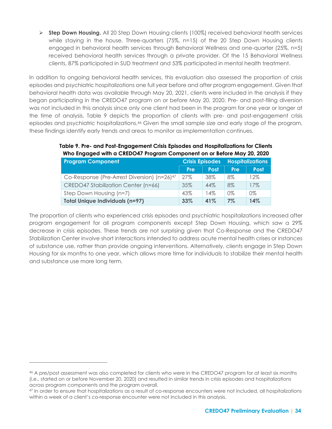➢ **Step Down Housing.** All 20 Step Down Housing clients (100%) received behavioral health services while staying in the house. Three-quarters (75%, n=15) of the 20 Step Down Housing clients engaged in behavioral health services through Behavioral Wellness and one-quarter (25%, n=5) received behavioral health services through a private provider. Of the 15 Behavioral Wellness clients, 87% participated in SUD treatment and 53% participated in mental health treatment.

In addition to ongoing behavioral health services, this evaluation also assessed the proportion of crisis episodes and psychiatric hospitalizations one full year before and after program engagement. Given that behavioral health data was available through May 20, 2021, clients were included in the analysis if they began participating in the CREDO47 program on or before May 20, 2020. Pre- and post-filing diversion was not included in this analysis since only one client had been in the program for one year or longer at the time of analysis. Table 9 depicts the proportion of clients with pre- and post-engagement crisis episodes and psychiatric hospitalizations. <sup>46</sup> Given the small sample size and early stage of the program, these findings identify early trends and areas to monitor as implementation continues.

#### **Table 9. Pre- and Post-Engagement Crisis Episodes and Hospitalizations for Clients Who Engaged with a CREDO47 Program Component on or Before May 20, 2020**

| <b>Program Component</b>                                | <b>Crisis Episodes</b> |             |       | <b>Hospitalizations</b> |  |
|---------------------------------------------------------|------------------------|-------------|-------|-------------------------|--|
|                                                         | Pre                    | <b>Post</b> | Pre   | <b>Post</b>             |  |
| Co-Response (Pre-Arrest Diversion) (n=26) <sup>47</sup> | 27%                    | 38%         | $8\%$ | 12%                     |  |
| CREDO47 Stabilization Center (n=66)                     | 35%                    | 44%         | 8%    | 17%                     |  |
| Step Down Housing (n=7)                                 | 43%                    | 14%         | $0\%$ | $0\%$                   |  |
| <b>Total Unique Individuals (n=97)</b>                  | 33%                    | 41%         | $7\%$ | 14%                     |  |

The proportion of clients who experienced crisis episodes and psychiatric hospitalizations increased after program engagement for all program components except Step Down Housing, which saw a 29% decrease in crisis episodes. These trends are not surprising given that Co-Response and the CREDO47 Stabilization Center involve short interactions intended to address acute mental health crises or instances of substance use, rather than provide ongoing interventions. Alternatively, clients engage in Step Down Housing for six months to one year, which allows more time for individuals to stabilize their mental health and substance use more long term.

<sup>46</sup> A pre/post assessment was also completed for clients who were in the CREDO47 program for at least six months (i.e., started on or before November 20, 2020) and resulted in similar trends in crisis episodes and hospitalizations across program components and the program overall.

<sup>47</sup> In order to ensure that hospitalizations as a result of co-response encounters were not included, all hospitalizations within a week of a client's co-response encounter were not included in this analysis.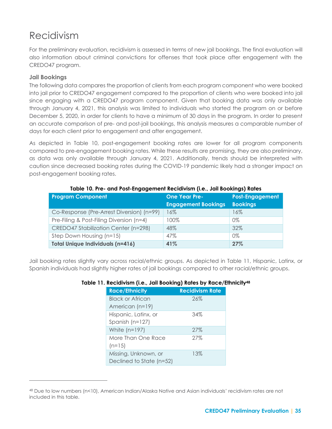### Recidivism

For the preliminary evaluation, recidivism is assessed in terms of new jail bookings. The final evaluation will also information about criminal convictions for offenses that took place after engagement with the CREDO47 program.

#### **Jail Bookings**

The following data compares the proportion of clients from each program component who were booked into jail prior to CREDO47 engagement compared to the proportion of clients who were booked into jail since engaging with a CREDO47 program component. Given that booking data was only available through January 4, 2021, this analysis was limited to individuals who started the program on or before December 5, 2020, in order for clients to have a minimum of 30 days in the program. In order to present an accurate comparison of pre- and post-jail bookings, this analysis measures a comparable number of days for each client prior to engagement and after engagement.

As depicted in Table 10, post-engagement booking rates are lower for all program components compared to pre-engagement booking rates. While these results are promising, they are also preliminary, as data was only available through January 4, 2021. Additionally, trends should be interpreted with caution since decreased booking rates during the COVID-19 pandemic likely had a stronger impact on post-engagement booking rates.

| <b>Program Component</b>                  | <b>One Year Pre-</b>       | <b>Post-Engagement</b> |  |
|-------------------------------------------|----------------------------|------------------------|--|
|                                           | <b>Engagement Bookings</b> | <b>Bookings</b>        |  |
| Co-Response (Pre-Arrest Diversion) (n=99) | 16%                        | 16%                    |  |
| Pre-Filing & Post-Filing Diversion (n=4)  | 100%                       | $0\%$                  |  |
| CREDO47 Stabilization Center (n=298)      | 48%                        | 32%                    |  |
| Step Down Housing (n=15)                  | 47%                        | $0\%$                  |  |
| <b>Total Unique Individuals (n=416)</b>   | 41%                        | 27%                    |  |

#### **Table 10. Pre- and Post-Engagement Recidivism (i.e., Jail Bookings) Rates**

Jail booking rates slightly vary across racial/ethnic groups. As depicted in Table 11, Hispanic, Latinx, or Spanish individuals had slightly higher rates of jail bookings compared to other racial/ethnic groups.

#### **Table 11. Recidivism (i.e., Jail Booking) Rates by Race/Ethnicity<sup>48</sup>**

| <b>Race/Ethnicity</b>    | <b>Recidivism Rate</b> |
|--------------------------|------------------------|
| Black or African         | 26%                    |
| American (n=19)          |                        |
| Hispanic, Latinx, or     | 34%                    |
| Spanish (n=127)          |                        |
| White $(n=197)$          | 27%                    |
| More Than One Race       | 27%                    |
| $(n=15)$                 |                        |
| Missing, Unknown, or     | 13%                    |
| Declined to State (n=52) |                        |

<sup>48</sup> Due to low numbers (n<10), American Indian/Alaska Native and Asian individuals' recidivism rates are not included in this table.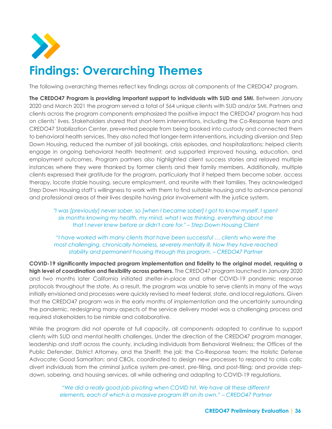<span id="page-36-0"></span>

# **Findings: Overarching Themes**

The following overarching themes reflect key findings across all components of the CREDO47 program.

**The CREDO47 Program is providing important support to individuals with SUD and SMI.** Between January 2020 and March 2021 the program served a total of 564 unique clients with SUD and/or SMI. Partners and clients across the program components emphasized the positive impact the CREDO47 program has had on clients' lives. Stakeholders shared that short-term interventions, including the Co-Response team and CREDO47 Stabilization Center, prevented people from being booked into custody and connected them to behavioral health services. They also noted that longer-term interventions, including diversion and Step Down Housing, reduced the number of jail bookings, crisis episodes, and hospitalizations; helped clients engage in ongoing behavioral health treatment; and supported improved housing, education, and employment outcomes. Program partners also highlighted client success stories and relayed multiple instances where they were thanked by former clients and their family members. Additionally, multiple clients expressed their gratitude for the program, particularly that it helped them become sober, access therapy, locate stable housing, secure employment, and reunite with their families. They acknowledged Step Down Housing staff's willingness to work with them to find suitable housing and to advance personal and professional areas of their lives despite having prior involvement with the justice system.

*"I was [previously] never sober, so [when I became sober] I got to know myself. I spent six months knowing my health, my mind, what I was thinking, everything about me that I never knew before or didn't care for." – Step Down Housing Client*

*"I have worked with many clients that have been successful … clients who were the most challenging, chronically homeless, severely mentally ill. Now they have reached stability and permanent housing through this program. – CREDO47 Partner*

**COVID-19 significantly impacted program implementation and fidelity to the original model, requiring a high level of coordination and flexibility across partners.** The CREDO47 program launched in January 2020 and two months later California initiated shelter-in-place and other COVID-19 pandemic response protocols throughout the state. As a result, the program was unable to serve clients in many of the ways initially envisioned and processes were quickly revised to meet federal, state, and local regulations. Given that the CREDO47 program was in the early months of implementation and the uncertainty surrounding the pandemic, redesigning many aspects of the service delivery model was a challenging process and required stakeholders to be nimble and collaborative.

While the program did not operate at full capacity, all components adapted to continue to support clients with SUD and mental health challenges. Under the direction of the CREDO47 program manager, leadership and staff across the county, including individuals from Behavioral Wellness; the Offices of the Public Defender, District Attorney, and the Sheriff; the jail; the Co-Response team; the Holistic Defense Advocate; Good Samaritan; and CBOs, coordinated to design new processes to respond to crisis calls; divert individuals from the criminal justice system pre-arrest, pre-filing, and post-filing; and provide stepdown, sobering, and housing services, all while adhering and adapting to COVID-19 regulations.

> *"We did a really good job pivoting when COVID hit. We have all these different elements, each of which is a massive program lift on its own." – CREDO47 Partner*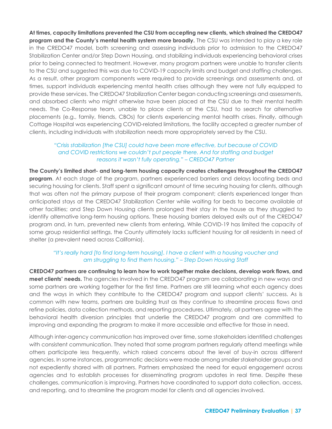**At times, capacity limitations prevented the CSU from accepting new clients, which strained the CREDO47 program and the County's mental health system more broadly.** The CSU was intended to play a key role in the CREDO47 model, both screening and assessing individuals prior to admission to the CREDO47 Stabilization Center and/or Step Down Housing, and stabilizing individuals experiencing behavioral crises prior to being connected to treatment. However, many program partners were unable to transfer clients to the CSU and suggested this was due to COVID-19 capacity limits and budget and staffing challenges. As a result, other program components were required to provide screenings and assessments and, at times, support individuals experiencing mental health crises although they were not fully equipped to provide these services. The CREDO47 Stabilization Center began conducting screenings and assessments, and absorbed clients who might otherwise have been placed at the CSU due to their mental health needs. The Co-Response team, unable to place clients at the CSU, had to search for alternative placements (e.g., family, friends, CBOs) for clients experiencing mental health crises. Finally, although Cottage Hospital was experiencing COVID-related limitations, the facility accepted a greater number of clients, including individuals with stabilization needs more appropriately served by the CSU.

#### *"Crisis stabilization [the CSU] could have been more effective, but because of COVID and COVID restrictions we couldn't put people there. And for staffing and budget reasons it wasn't fully operating." – CREDO47 Partner*

**The County's limited short- and long-term housing capacity creates challenges throughout the CREDO47 program**. At each stage of the program, partners experienced barriers and delays locating beds and securing housing for clients. Staff spent a significant amount of time securing housing for clients, although that was often not the primary purpose of their program component; clients experienced longer than anticipated stays at the CREDO47 Stabilization Center while waiting for beds to become available at other facilities; and Step Down Housing clients prolonged their stay in the house as they struggled to identify alternative long-term housing options. These housing barriers delayed exits out of the CREDO47 program and, in turn, prevented new clients from entering. While COVID-19 has limited the capacity of some group residential settings, the County ultimately lacks sufficient housing for all residents in need of shelter (a prevalent need across California).

#### *"It's really hard [to find long-term housing]. I have a client with a housing voucher and am struggling to find them housing." – Step Down Housing Staff*

**CREDO47 partners are continuing to learn how to work together make decisions, develop work flows, and meet clients' needs.** The agencies involved in the CREDO47 program are collaborating in new ways and some partners are working together for the first time. Partners are still learning what each agency does and the ways in which they contribute to the CREDO47 program and support clients' success. As is common with new teams, partners are building trust as they continue to streamline process flows and refine policies, data collection methods, and reporting procedures. Ultimately, all partners agree with the behavioral health diversion principles that underlie the CREDO47 program and are committed to improving and expanding the program to make it more accessible and effective for those in need.

Although inter-agency communication has improved over time, some stakeholders identified challenges with consistent communication. They noted that some program partners regularly attend meetings while others participate less frequently, which raised concerns about the level of buy-in across different agencies. In some instances, programmatic decisions were made among smaller stakeholder groups and not expediently shared with all partners. Partners emphasized the need for equal engagement across agencies and to establish processes for disseminating program updates in real time. Despite these challenges, communication is improving. Partners have coordinated to support data collection, access, and reporting, and to streamline the program model for clients and all agencies involved.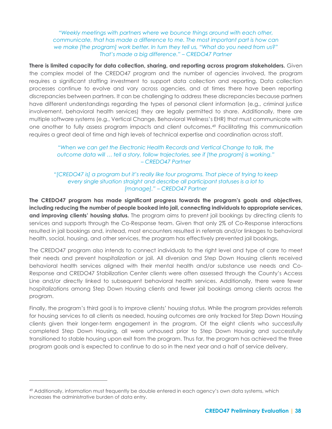*"Weekly meetings with partners where we bounce things around with each other, communicate, that has made a difference to me. The most important part is how can we make [the program] work better. In turn they tell us, "What do you need from us?" That's made a big difference." – CREDO47 Partner*

**There is limited capacity for data collection, sharing, and reporting across program stakeholders.** Given the complex model of the CREDO47 program and the number of agencies involved, the program requires a significant staffing investment to support data collection and reporting. Data collection processes continue to evolve and vary across agencies, and at times there have been reporting discrepancies between partners. It can be challenging to address these discrepancies because partners have different understandings regarding the types of personal client information (e.g., criminal justice involvement, behavioral health services) they are legally permitted to share. Additionally, there are multiple software systems (e.g., Vertical Change, Behavioral Wellness's EHR) that must communicate with one another to fully assess program impacts and client outcomes.<sup>49</sup> Facilitating this communication requires a great deal of time and high levels of technical expertise and coordination across staff.

> *"When we can get the Electronic Health Records and Vertical Change to talk, the outcome data will … tell a story, follow trajectories, see if [the program] is working." – CREDO47 Partner*

*"[CREDO47 is] a program but it's really like four programs. That piece of trying to keep every single situation straight and describe all participant statuses is a lot to [manage]." – CREDO47 Partner*

**The CREDO47 program has made significant progress towards the program's goals and objectives, including reducing the number of people booked into jail, connecting individuals to appropriate services, and improving clients' housing status.** The program aims to prevent jail bookings by directing clients to services and supports through the Co-Response team. Given that only 2% of Co-Response interactions resulted in jail bookings and, instead, most encounters resulted in referrals and/or linkages to behavioral health, social, housing, and other services, the program has effectively prevented jail bookings.

The CREDO47 program also intends to connect individuals to the right level and type of care to meet their needs and prevent hospitalization or jail. All diversion and Step Down Housing clients received behavioral health services aligned with their mental health and/or substance use needs and Co-Response and CREDO47 Stabilization Center clients were often assessed through the County's Access Line and/or directly linked to subsequent behavioral health services. Additionally, there were fewer hospitalizations among Step Down Housing clients and fewer jail bookings among clients across the program.

Finally, the program's third goal is to improve clients' housing status. While the program provides referrals for housing services to all clients as needed, housing outcomes are only tracked for Step Down Housing clients given their longer-term engagement in the program. Of the eight clients who successfully completed Step Down Housing, all were unhoused prior to Step Down Housing and successfully transitioned to stable housing upon exit from the program. Thus far, the program has achieved the three program goals and is expected to continue to do so in the next year and a half of service delivery.

<sup>49</sup> Additionally, information must frequently be double entered in each agency's own data systems, which increases the administrative burden of data entry.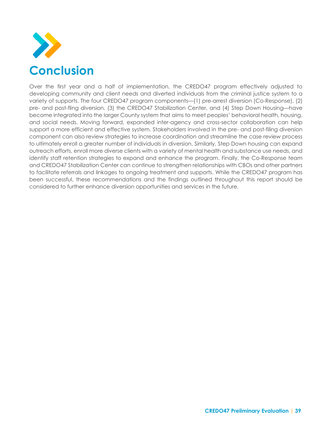

Over the first year and a half of implementation, the CREDO47 program effectively adjusted to developing community and client needs and diverted individuals from the criminal justice system to a variety of supports. The four CREDO47 program components—(1) pre-arrest diversion (Co-Response), (2) pre- and post-fling diversion, (3) the CREDO47 Stabilization Center, and (4) Step Down Housing—have become integrated into the larger County system that aims to meet peoples' behavioral health, housing, and social needs. Moving forward, expanded inter-agency and cross-sector collaboration can help support a more efficient and effective system. Stakeholders involved in the pre- and post-filing diversion component can also review strategies to increase coordination and streamline the case review process to ultimately enroll a greater number of individuals in diversion. Similarly, Step Down housing can expand outreach efforts, enroll more diverse clients with a variety of mental health and substance use needs, and identify staff retention strategies to expand and enhance the program. Finally, the Co-Response team and CREDO47 Stabilization Center can continue to strengthen relationships with CBOs and other partners to facilitate referrals and linkages to ongoing treatment and supports. While the CREDO47 program has been successful, these recommendations and the findings outlined throughout this report should be considered to further enhance diversion opportunities and services in the future.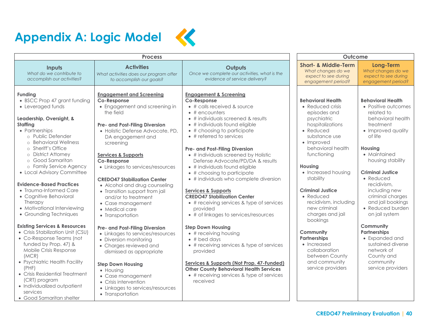



<span id="page-40-0"></span>

| <b>Process</b>                                                                                                                                                                                                                                                                                                                                                                                                                                                                                                                                                                                                                                                                                                                                                                                         |                                                                                                                                                                                                                                                                                                                                                                                                                                                                                                                                                                                                                                                                                                                                                                                            | Outcome                                                                                                                                                                                                                                                                                                                                                                                                                                                                                                                                                                                                                                                                                                                                                                                                                                                                                                                                                                          |                                                                                                                                                                                                                                                                                                                                                                                                                                                                                                            |                                                                                                                                                                                                                                                                                                                                                                                                                                                                                                 |
|--------------------------------------------------------------------------------------------------------------------------------------------------------------------------------------------------------------------------------------------------------------------------------------------------------------------------------------------------------------------------------------------------------------------------------------------------------------------------------------------------------------------------------------------------------------------------------------------------------------------------------------------------------------------------------------------------------------------------------------------------------------------------------------------------------|--------------------------------------------------------------------------------------------------------------------------------------------------------------------------------------------------------------------------------------------------------------------------------------------------------------------------------------------------------------------------------------------------------------------------------------------------------------------------------------------------------------------------------------------------------------------------------------------------------------------------------------------------------------------------------------------------------------------------------------------------------------------------------------------|----------------------------------------------------------------------------------------------------------------------------------------------------------------------------------------------------------------------------------------------------------------------------------------------------------------------------------------------------------------------------------------------------------------------------------------------------------------------------------------------------------------------------------------------------------------------------------------------------------------------------------------------------------------------------------------------------------------------------------------------------------------------------------------------------------------------------------------------------------------------------------------------------------------------------------------------------------------------------------|------------------------------------------------------------------------------------------------------------------------------------------------------------------------------------------------------------------------------------------------------------------------------------------------------------------------------------------------------------------------------------------------------------------------------------------------------------------------------------------------------------|-------------------------------------------------------------------------------------------------------------------------------------------------------------------------------------------------------------------------------------------------------------------------------------------------------------------------------------------------------------------------------------------------------------------------------------------------------------------------------------------------|
| Inputs<br>What do we contribute to<br>accomplish our activities?                                                                                                                                                                                                                                                                                                                                                                                                                                                                                                                                                                                                                                                                                                                                       | <b>Activities</b><br>What activities does our program offer<br>to accomplish our goals?                                                                                                                                                                                                                                                                                                                                                                                                                                                                                                                                                                                                                                                                                                    | Outputs<br>Once we complete our activities, what is the<br>evidence of service delivery?                                                                                                                                                                                                                                                                                                                                                                                                                                                                                                                                                                                                                                                                                                                                                                                                                                                                                         | <b>Short- &amp; Middle-Term</b><br>What changes do we<br>expect to see during<br>engagement period?                                                                                                                                                                                                                                                                                                                                                                                                        | Long-Term<br>What changes do we<br>expect to see during<br>engagement period?                                                                                                                                                                                                                                                                                                                                                                                                                   |
| Funding<br>• BSCC Prop 47 grant funding<br>• Leveraged funds<br>Leadership, Oversight, &<br>Staffing<br>• Partnerships<br>o Public Defender<br>o Behavioral Wellness<br>o Sheriff's Office<br>o District Attorney<br>o Good Samaritan<br>o Family Service Agency<br>• Local Advisory Committee<br><b>Evidence-Based Practices</b><br>• Trauma-Informed Care<br>• Cognitive Behavioral<br>Therapy<br>• Motivational Interviewing<br>• Grounding Techniques<br><b>Existing Services &amp; Resources</b><br>• Crisis Stabilization Unit (CSU)<br>• Co-Response Teams (not<br>funded by Prop. 47) &<br>Mobile Crisis Response<br>(MCR)<br>• Psychiatric Health Facility<br>(PHF)<br>• Crisis Residential Treatment<br>(CRT) program<br>• Individualized outpatient<br>services<br>• Good Samaritan shelter | <b>Engagement and Screening</b><br>Co-Response<br>• Engagement and screening in<br>the field<br>Pre- and Post-Filing Diversion<br>· Holistic Defense Advocate, PD,<br>DA engagement and<br>screening<br><b>Services &amp; Supports</b><br>Co-Response<br>• Linkages to services/resources<br><b>CREDO47 Stabilization Center</b><br>• Alcohol and drug counseling<br>• Transition support from jail<br>and/or to treatment<br>• Case management<br>• Medical care<br>• Transportation<br>Pre- and Post-Filing Diversion<br>• Linkages to services/resources<br>• Diversion monitoring<br>• Charges reviewed and<br>dismissed as appropriate<br><b>Step Down Housing</b><br>• Housing<br>• Case management<br>• Crisis intervention<br>• Linkages to services/resources<br>• Transportation | <b>Engagement &amp; Screening</b><br>Co-Response<br>$*$ # calls received & source<br>$\bullet$ # encounters<br>• # individuals screened & results<br>• # individuals found eligible<br>$\bullet$ # choosing to participate<br>$\bullet$ # referred to services<br>Pre- and Post-Filing Diversion<br>• # individuals screened by Holistic<br>Defense Advocate/PD/DA & results<br>• # individuals found eligible<br>$\bullet$ # choosing to participate<br>• # individuals who complete diversion<br><b>Services &amp; Supports</b><br><b>CREDO47 Stabilization Center</b><br>• # receiving services & type of services<br>provided<br>• # of linkages to services/resources<br><b>Step Down Housing</b><br>$\bullet$ # receiving housing<br>$\bullet$ # bed days<br>• # receiving services & type of services<br>provided<br>Services & Supports (Not Prop. 47-Funded)<br><b>Other County Behavioral Health Services</b><br>• # receiving services & type of services<br>received | <b>Behavioral Health</b><br>• Reduced crisis<br>episodes and<br>psychiatric<br>hospitalizations<br>$\bullet$ Reduced<br>substance use<br>• Improved<br>behavioral health<br>functioning<br><b>Housing</b><br>• Increased housing<br>stability<br><b>Criminal Justice</b><br>$\bullet$ Reduced<br>recidivism, including<br>new criminal<br>charges and jail<br>bookings<br>Community<br><b>Partnerships</b><br>$\bullet$ Increased<br>collaboration<br>between County<br>and community<br>service providers | <b>Behavioral Health</b><br>• Positive outcomes<br>related to<br>behavioral health<br>treatment<br>• Improved quality<br>of life<br><b>Housing</b><br>• Maintained<br>housing stability<br><b>Criminal Justice</b><br>$\bullet$ Reduced<br>recidivism,<br>including new<br>criminal charges<br>and jail bookings<br>• Reduced burden<br>on jail system<br>Community<br><b>Partnerships</b><br>• Expanded and<br>sustained diverse<br>network of<br>County and<br>community<br>service providers |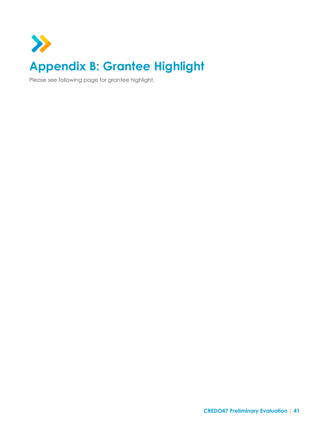<span id="page-41-0"></span>

Please see following page for grantee highlight.